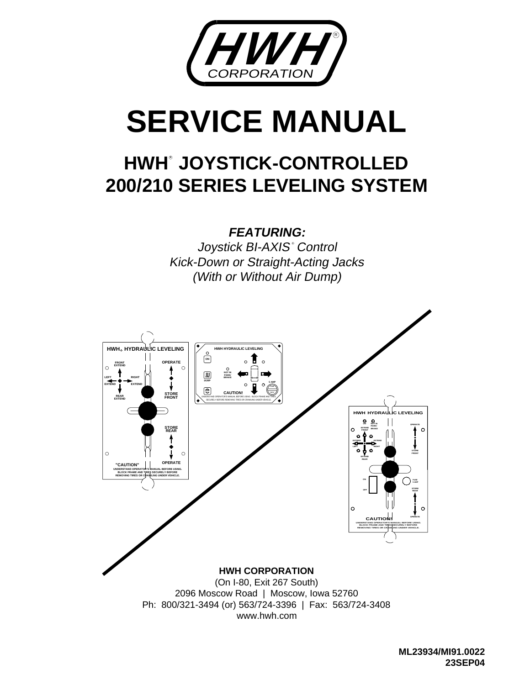

# **SERVICE MANUAL**

# **HWH® JOYSTICK-CONTROLLED 200/210 SERIES LEVELING SYSTEM**

**FEATURING:**

(With or Without Air Dump) Kick-Down or Straight-Acting Jacks Joystick BI-AXIS° Control

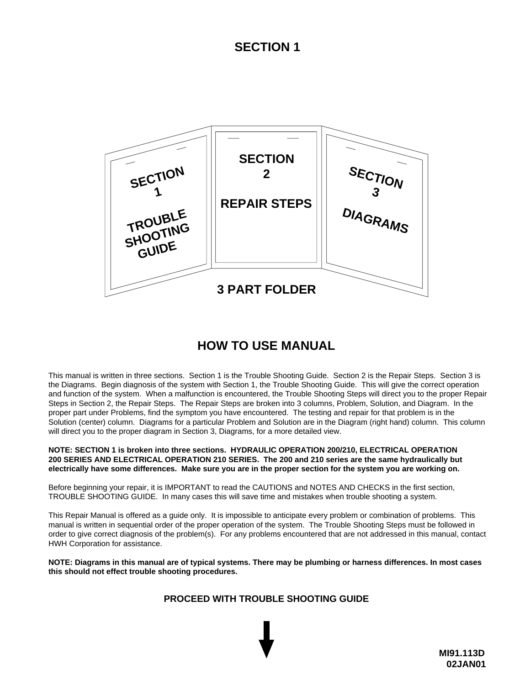#### **SECTION 1**



#### **HOW TO USE MANUAL**

This manual is written in three sections. Section 1 is the Trouble Shooting Guide. Section 2 is the Repair Steps. Section 3 is the Diagrams. Begin diagnosis of the system with Section 1, the Trouble Shooting Guide. This will give the correct operation and function of the system. When a malfunction is encountered, the Trouble Shooting Steps will direct you to the proper Repair Steps in Section 2, the Repair Steps. The Repair Steps are broken into 3 columns, Problem, Solution, and Diagram. In the proper part under Problems, find the symptom you have encountered. The testing and repair for that problem is in the Solution (center) column. Diagrams for a particular Problem and Solution are in the Diagram (right hand) column. This column will direct you to the proper diagram in Section 3, Diagrams, for a more detailed view.

#### **NOTE: SECTION 1 is broken into three sections. HYDRAULIC OPERATION 200/210, ELECTRICAL OPERATION 200 SERIES AND ELECTRICAL OPERATION 210 SERIES. The 200 and 210 series are the same hydraulically but electrically have some differences. Make sure you are in the proper section for the system you are working on.**

Before beginning your repair, it is IMPORTANT to read the CAUTIONS and NOTES AND CHECKS in the first section, TROUBLE SHOOTING GUIDE. In many cases this will save time and mistakes when trouble shooting a system.

This Repair Manual is offered as a guide only. It is impossible to anticipate every problem or combination of problems. This manual is written in sequential order of the proper operation of the system. The Trouble Shooting Steps must be followed in order to give correct diagnosis of the problem(s). For any problems encountered that are not addressed in this manual, contact HWH Corporation for assistance.

**NOTE: Diagrams in this manual are of typical systems. There may be plumbing or harness differences. In most cases this should not effect trouble shooting procedures.**

#### **PROCEED WITH TROUBLE SHOOTING GUIDE**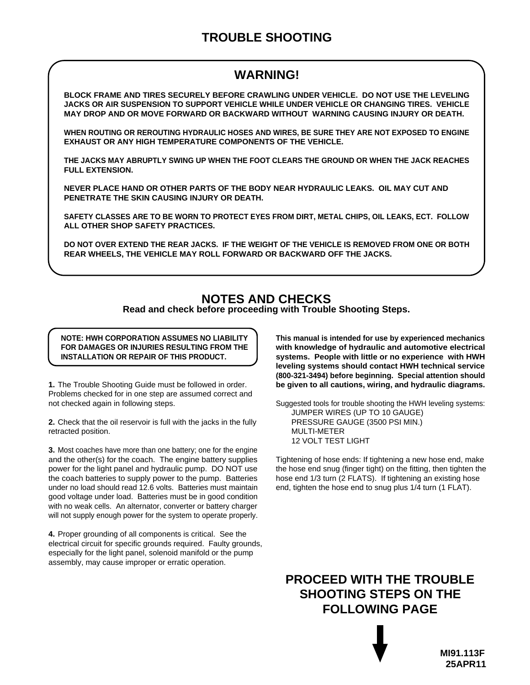#### **TROUBLE SHOOTING**

#### **WARNING!**

**BLOCK FRAME AND TIRES SECURELY BEFORE CRAWLING UNDER VEHICLE. DO NOT USE THE LEVELING JACKS OR AIR SUSPENSION TO SUPPORT VEHICLE WHILE UNDER VEHICLE OR CHANGING TIRES. VEHICLE MAY DROP AND OR MOVE FORWARD OR BACKWARD WITHOUT WARNING CAUSING INJURY OR DEATH.**

**WHEN ROUTING OR REROUTING HYDRAULIC HOSES AND WIRES, BE SURE THEY ARE NOT EXPOSED TO ENGINE EXHAUST OR ANY HIGH TEMPERATURE COMPONENTS OF THE VEHICLE.**

**THE JACKS MAY ABRUPTLY SWING UP WHEN THE FOOT CLEARS THE GROUND OR WHEN THE JACK REACHES FULL EXTENSION.** 

**NEVER PLACE HAND OR OTHER PARTS OF THE BODY NEAR HYDRAULIC LEAKS. OIL MAY CUT AND PENETRATE THE SKIN CAUSING INJURY OR DEATH.**

**SAFETY CLASSES ARE TO BE WORN TO PROTECT EYES FROM DIRT, METAL CHIPS, OIL LEAKS, ECT. FOLLOW ALL OTHER SHOP SAFETY PRACTICES.**

**DO NOT OVER EXTEND THE REAR JACKS. IF THE WEIGHT OF THE VEHICLE IS REMOVED FROM ONE OR BOTH REAR WHEELS, THE VEHICLE MAY ROLL FORWARD OR BACKWARD OFF THE JACKS.**

#### **NOTES AND CHECKS**

**Read and check before proceeding with Trouble Shooting Steps.**

**NOTE: HWH CORPORATION ASSUMES NO LIABILITY FOR DAMAGES OR INJURIES RESULTING FROM THE INSTALLATION OR REPAIR OF THIS PRODUCT.**

1. The Trouble Shooting Guide must be followed in order. Problems checked for in one step are assumed correct and not checked again in following steps.

**2.** Check that the oil reservoir is full with the jacks in the fully retracted position.

Most coaches have more than one battery; one for the engine **3.** and the other(s) for the coach. The engine battery supplies power for the light panel and hydraulic pump. DO NOT use the coach batteries to supply power to the pump. Batteries under no load should read 12.6 volts. Batteries must maintain good voltage under load. Batteries must be in good condition with no weak cells. An alternator, converter or battery charger will not supply enough power for the system to operate properly.

4. Proper grounding of all components is critical. See the electrical circuit for specific grounds required. Faulty grounds, especially for the light panel, solenoid manifold or the pump assembly, may cause improper or erratic operation.

**This manual is intended for use by experienced mechanics with knowledge of hydraulic and automotive electrical systems. People with little or no experience with HWH leveling systems should contact HWH technical service (800-321-3494) before beginning. Special attention should be given to all cautions, wiring, and hydraulic diagrams.**

Suggested tools for trouble shooting the HWH leveling systems: JUMPER WIRES (UP TO 10 GAUGE) PRESSURE GAUGE (3500 PSI MIN.) MULTI-METER 12 VOLT TEST LIGHT

Tightening of hose ends: If tightening a new hose end, make the hose end snug (finger tight) on the fitting, then tighten the hose end 1/3 turn (2 FLATS). If tightening an existing hose end, tighten the hose end to snug plus 1/4 turn (1 FLAT).

**PROCEED WITH THE TROUBLE SHOOTING STEPS ON THE FOLLOWING PAGE**

> **MI91.113F 25APR11**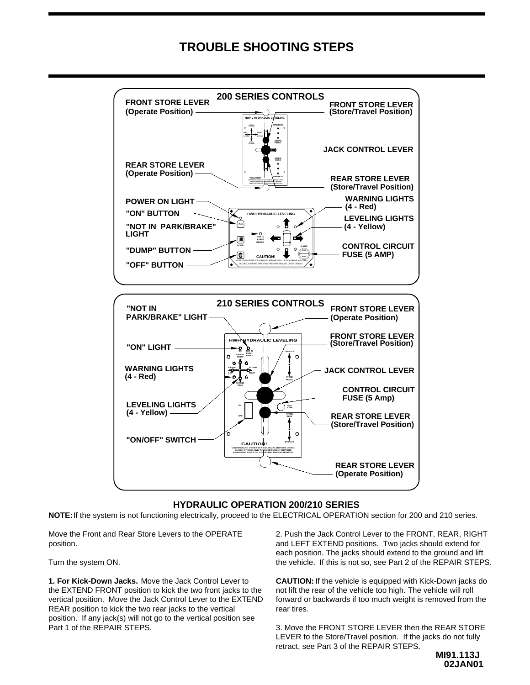#### **TROUBLE SHOOTING STEPS**



#### **HYDRAULIC OPERATION 200/210 SERIES**

**NOTE:**If the system is not functioning electrically, proceed to the ELECTRICAL OPERATION section for 200 and 210 series.

Move the Front and Rear Store Levers to the OPERATE position.

Turn the system ON.

**1. For Kick-Down Jacks.** Move the Jack Control Lever to the EXTEND FRONT position to kick the two front jacks to the vertical position. Move the Jack Control Lever to the EXTEND REAR position to kick the two rear jacks to the vertical position. If any jack(s) will not go to the vertical position see Part 1 of the REPAIR STEPS.

2. Push the Jack Control Lever to the FRONT, REAR, RIGHT and LEFT EXTEND positions. Two jacks should extend for each position. The jacks should extend to the ground and lift the vehicle. If this is not so, see Part 2 of the REPAIR STEPS.

**CAUTION:** If the vehicle is equipped with Kick-Down jacks do not lift the rear of the vehicle too high. The vehicle will roll forward or backwards if too much weight is removed from the rear tires.

3. Move the FRONT STORE LEVER then the REAR STORE LEVER to the Store/Travel position. If the jacks do not fully retract, see Part 3 of the REPAIR STEPS.

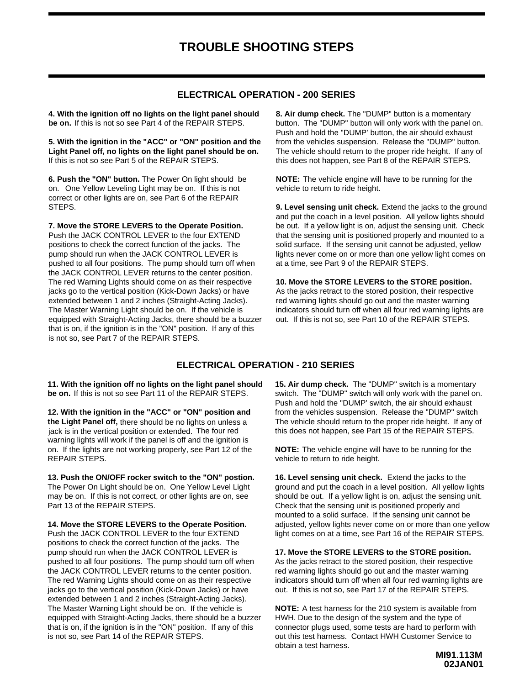#### **ELECTRICAL OPERATION - 200 SERIES**

**4. With the ignition off no lights on the light panel should**  be on. If this is not so see Part 4 of the REPAIR STEPS.

**5. With the ignition in the "ACC" or "ON" position and the**  If this is not so see Part 5 of the REPAIR STEPS. **Light Panel off, no lights on the light panel should be on.**

**6. Push the "ON" button.**  The Power On light should be on. One Yellow Leveling Light may be on. If this is not correct or other lights are on, see Part 6 of the REPAIR STEPS.

**7. Move the STORE LEVERS to the Operate Position.**  Push the JACK CONTROL LEVER to the four EXTEND positions to check the correct function of the jacks. The pump should run when the JACK CONTROL LEVER is pushed to all four positions. The pump should turn off when the JACK CONTROL LEVER returns to the center position. The red Warning Lights should come on as their respective jacks go to the vertical position (Kick-Down Jacks) or have extended between 1 and 2 inches (Straight-Acting Jacks). The Master Warning Light should be on. If the vehicle is equipped with Straight-Acting Jacks, there should be a buzzer that is on, if the ignition is in the "ON" position. If any of this is not so, see Part 7 of the REPAIR STEPS.

**8. Air dump check.** The "DUMP" button is a momentary button. The "DUMP" button will only work with the panel on. Push and hold the "DUMP' button, the air should exhaust from the vehicles suspension. Release the "DUMP" button. The vehicle should return to the proper ride height. If any of this does not happen, see Part 8 of the REPAIR STEPS.

**NOTE:** The vehicle engine will have to be running for the vehicle to return to ride height.

**9. Level sensing unit check.** Extend the jacks to the ground and put the coach in a level position. All yellow lights should be out. If a yellow light is on, adjust the sensing unit. Check that the sensing unit is positioned properly and mounted to a solid surface. If the sensing unit cannot be adjusted, yellow lights never come on or more than one yellow light comes on at a time, see Part 9 of the REPAIR STEPS.

**10. Move the STORE LEVERS to the STORE position.** As the jacks retract to the stored position, their respective red warning lights should go out and the master warning indicators should turn off when all four red warning lights are out. If this is not so, see Part 10 of the REPAIR STEPS.

#### **ELECTRICAL OPERATION - 210 SERIES**

be on. If this is not so see Part 11 of the REPAIR STEPS. **11. With the ignition off no lights on the light panel should** 

on. If the lights are not working properly, see Part 12 of the warning lights will work if the panel is off and the ignition is the Light Panel off, there should be no lights on unless a **12. With the ignition in the "ACC" or "ON" position and**  REPAIR STEPS. jack is in the vertical position or extended. The four red

Part 13 of the REPAIR STEPS. may be on. If this is not correct, or other lights are on, see The Power On Light should be on. One Yellow Level Light **13. Push the ON/OFF rocker switch to the "ON" postion.**

The Master Warning Light should be on. If the vehicle is is not so, see Part 14 of the REPAIR STEPS. that is on, if the ignition is in the "ON" position. If any of this equipped with Straight-Acting Jacks, there should be a buzzer extended between 1 and 2 inches (Straight-Acting Jacks). jacks go to the vertical position (Kick-Down Jacks) or have The red Warning Lights should come on as their respective the JACK CONTROL LEVER returns to the center position. pushed to all four positions. The pump should turn off when pump should run when the JACK CONTROL LEVER is positions to check the correct function of the jacks. The Push the JACK CONTROL LEVER to the four EXTEND **14. Move the STORE LEVERS to the Operate Position.** 

this does not happen, see Part 15 of the REPAIR STEPS. The vehicle should return to the proper ride height. If any of from the vehicles suspension. Release the "DUMP" switch Push and hold the "DUMP' switch, the air should exhaust switch. The "DUMP" switch will only work with the panel on. 15. Air dump check. The "DUMP" switch is a momentary

**NOTE:** The vehicle engine will have to be running for the vehicle to return to ride height.

light comes on at a time, see Part 16 of the REPAIR STEPS. adjusted, yellow lights never come on or more than one yellow mounted to a solid surface. If the sensing unit cannot be Check that the sensing unit is positioned properly and should be out. If a yellow light is on, adjust the sensing unit. ground and put the coach in a level position. All yellow lights 16. Level sensing unit check. Extend the jacks to the

out. If this is not so, see Part 17 of the REPAIR STEPS. indicators should turn off when all four red warning lights are red warning lights should go out and the master warning As the jacks retract to the stored position, their respective **17. Move the STORE LEVERS to the STORE position.**

**NOTE:** A test harness for the 210 system is available from out this test harness. Contact HWH Customer Service to connector plugs used, some tests are hard to perform with HWH. Due to the design of the system and the type of obtain a test harness.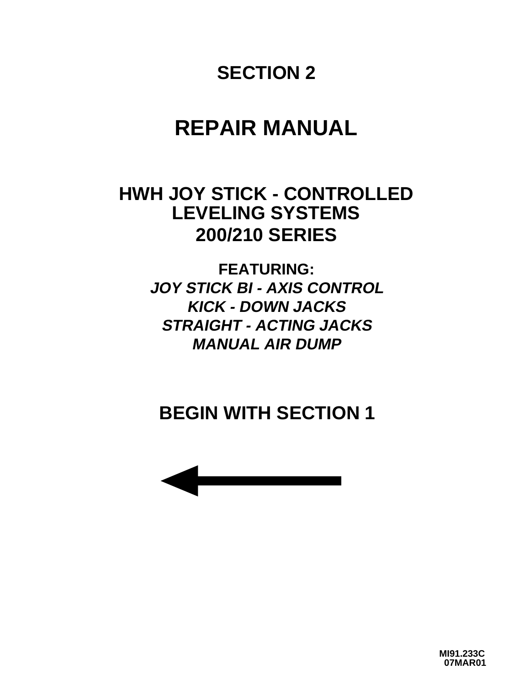# **SECTION 2**

# **REPAIR MANUAL**

## **LEVELING SYSTEMS HWH JOY STICK - CONTROLLED 200/210 SERIES**

**FEATURING: JOY STICK BI - AXIS CONTROL KICK - DOWN JACKS STRAIGHT - ACTING JACKS MANUAL AIR DUMP**

# **BEGIN WITH SECTION 1**



**MI91.233C 07MAR01**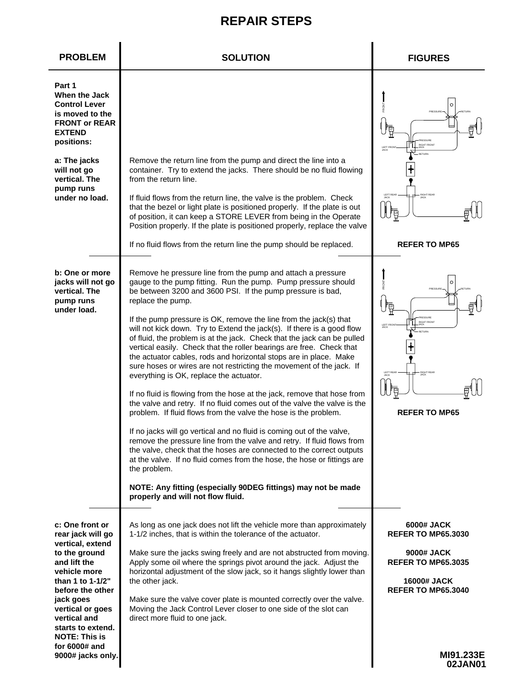| <b>PROBLEM</b>                                                                                                                                                                                                                                                                        | <b>SOLUTION</b>                                                                                                                                                                                                                                                                                                                                                                                                                                                                                                                                                                                                                                                                                                                                                                                                                                                                                                                                                                                                                                                                                                                                                                                                                                                                                                                                                 | <b>FIGURES</b>                                                                                                                                             |
|---------------------------------------------------------------------------------------------------------------------------------------------------------------------------------------------------------------------------------------------------------------------------------------|-----------------------------------------------------------------------------------------------------------------------------------------------------------------------------------------------------------------------------------------------------------------------------------------------------------------------------------------------------------------------------------------------------------------------------------------------------------------------------------------------------------------------------------------------------------------------------------------------------------------------------------------------------------------------------------------------------------------------------------------------------------------------------------------------------------------------------------------------------------------------------------------------------------------------------------------------------------------------------------------------------------------------------------------------------------------------------------------------------------------------------------------------------------------------------------------------------------------------------------------------------------------------------------------------------------------------------------------------------------------|------------------------------------------------------------------------------------------------------------------------------------------------------------|
| Part 1<br>When the Jack<br><b>Control Lever</b><br>is moved to the<br><b>FRONT or REAR</b><br><b>EXTEND</b><br>positions:<br>a: The jacks<br>will not go<br>vertical. The<br>pump runs<br>under no load.                                                                              | Remove the return line from the pump and direct the line into a<br>container. Try to extend the jacks. There should be no fluid flowing<br>from the return line.<br>If fluid flows from the return line, the valve is the problem. Check<br>that the bezel or light plate is positioned properly. If the plate is out<br>of position, it can keep a STORE LEVER from being in the Operate                                                                                                                                                                                                                                                                                                                                                                                                                                                                                                                                                                                                                                                                                                                                                                                                                                                                                                                                                                       | $\mathcal{C}$<br><b>PRESSIRE</b><br><b>RIGHT FRONT</b><br>LEFT FRO<br>JACK<br><b>LEFT REAR</b><br><b>RIGHT REAR</b><br><b>JACK</b>                         |
|                                                                                                                                                                                                                                                                                       | Position properly. If the plate is positioned properly, replace the valve<br>If no fluid flows from the return line the pump should be replaced.                                                                                                                                                                                                                                                                                                                                                                                                                                                                                                                                                                                                                                                                                                                                                                                                                                                                                                                                                                                                                                                                                                                                                                                                                | <b>REFER TO MP65</b>                                                                                                                                       |
|                                                                                                                                                                                                                                                                                       |                                                                                                                                                                                                                                                                                                                                                                                                                                                                                                                                                                                                                                                                                                                                                                                                                                                                                                                                                                                                                                                                                                                                                                                                                                                                                                                                                                 |                                                                                                                                                            |
| b: One or more<br>jacks will not go<br>vertical. The<br>pump runs<br>under load.                                                                                                                                                                                                      | Remove he pressure line from the pump and attach a pressure<br>gauge to the pump fitting. Run the pump. Pump pressure should<br>be between 3200 and 3600 PSI. If the pump pressure is bad,<br>replace the pump.<br>If the pump pressure is OK, remove the line from the jack(s) that<br>will not kick down. Try to Extend the jack(s). If there is a good flow<br>of fluid, the problem is at the jack. Check that the jack can be pulled<br>vertical easily. Check that the roller bearings are free. Check that<br>the actuator cables, rods and horizontal stops are in place. Make<br>sure hoses or wires are not restricting the movement of the jack. If<br>everything is OK, replace the actuator.<br>If no fluid is flowing from the hose at the jack, remove that hose from<br>the valve and retry. If no fluid comes out of the valve the valve is the<br>problem. If fluid flows from the valve the hose is the problem.<br>If no jacks will go vertical and no fluid is coming out of the valve,<br>remove the pressure line from the valve and retry. If fluid flows from<br>the valve, check that the hoses are connected to the correct outputs<br>at the valve. If no fluid comes from the hose, the hose or fittings are<br>the problem.<br>NOTE: Any fitting (especially 90DEG fittings) may not be made<br>properly and will not flow fluid. | FRONT<br>С<br>PRESSURE<br>パ<br>PRESSURE<br><b>RIGHT FRONT</b><br>LEFT FRO<br>JACK<br>LEFT REAR<br><b>RIGHT REAR</b><br><b>JACK</b><br><b>REFER TO MP65</b> |
| c: One front or<br>rear jack will go<br>vertical, extend<br>to the ground<br>and lift the<br>vehicle more<br>than 1 to 1-1/2"<br>before the other<br>jack goes<br>vertical or goes<br>vertical and<br>starts to extend.<br><b>NOTE: This is</b><br>for 6000# and<br>9000# jacks only. | As long as one jack does not lift the vehicle more than approximately<br>1-1/2 inches, that is within the tolerance of the actuator.<br>Make sure the jacks swing freely and are not abstructed from moving.<br>Apply some oil where the springs pivot around the jack. Adjust the<br>horizontal adjustment of the slow jack, so it hangs slightly lower than<br>the other jack.<br>Make sure the valve cover plate is mounted correctly over the valve.<br>Moving the Jack Control Lever closer to one side of the slot can<br>direct more fluid to one jack.                                                                                                                                                                                                                                                                                                                                                                                                                                                                                                                                                                                                                                                                                                                                                                                                  | 6000# JACK<br><b>REFER TO MP65.3030</b><br>9000# JACK<br><b>REFER TO MP65.3035</b><br>16000# JACK<br><b>REFER TO MP65.3040</b><br>MI91.233E                |
|                                                                                                                                                                                                                                                                                       |                                                                                                                                                                                                                                                                                                                                                                                                                                                                                                                                                                                                                                                                                                                                                                                                                                                                                                                                                                                                                                                                                                                                                                                                                                                                                                                                                                 | 02JAN01                                                                                                                                                    |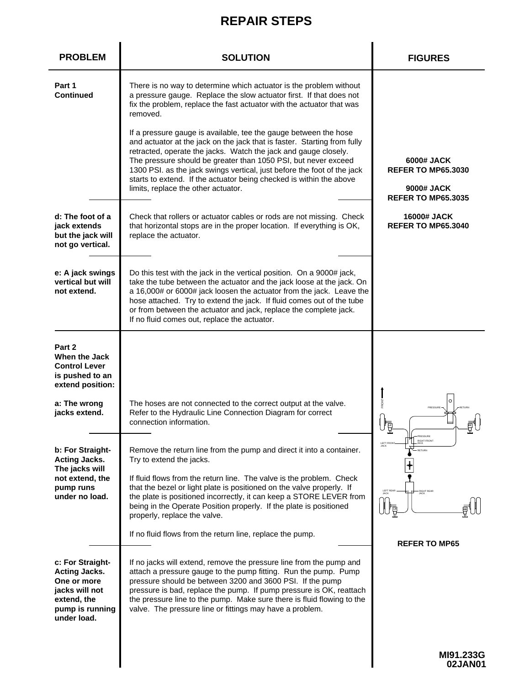| <b>PROBLEM</b>                                                                                                             | <b>SOLUTION</b>                                                                                                                                                                                                                                                                                                                                                                                                                                                                                                                                                                                                                                                                                              | <b>FIGURES</b>                                                                                          |
|----------------------------------------------------------------------------------------------------------------------------|--------------------------------------------------------------------------------------------------------------------------------------------------------------------------------------------------------------------------------------------------------------------------------------------------------------------------------------------------------------------------------------------------------------------------------------------------------------------------------------------------------------------------------------------------------------------------------------------------------------------------------------------------------------------------------------------------------------|---------------------------------------------------------------------------------------------------------|
| Part 1<br><b>Continued</b>                                                                                                 | There is no way to determine which actuator is the problem without<br>a pressure gauge. Replace the slow actuator first. If that does not<br>fix the problem, replace the fast actuator with the actuator that was<br>removed.<br>If a pressure gauge is available, tee the gauge between the hose<br>and actuator at the jack on the jack that is faster. Starting from fully<br>retracted, operate the jacks. Watch the jack and gauge closely.<br>The pressure should be greater than 1050 PSI, but never exceed<br>1300 PSI. as the jack swings vertical, just before the foot of the jack<br>starts to extend. If the actuator being checked is within the above<br>limits, replace the other actuator. | 6000# JACK<br><b>REFER TO MP65.3030</b><br>9000# JACK<br><b>REFER TO MP65.3035</b>                      |
| d: The foot of a<br>jack extends<br>but the jack will<br>not go vertical.                                                  | Check that rollers or actuator cables or rods are not missing. Check<br>that horizontal stops are in the proper location. If everything is OK,<br>replace the actuator.                                                                                                                                                                                                                                                                                                                                                                                                                                                                                                                                      | <b>16000# JACK</b><br><b>REFER TO MP65.3040</b>                                                         |
| e: A jack swings<br>vertical but will<br>not extend.                                                                       | Do this test with the jack in the vertical position. On a 9000# jack,<br>take the tube between the actuator and the jack loose at the jack. On<br>a 16,000# or 6000# jack loosen the actuator from the jack. Leave the<br>hose attached. Try to extend the jack. If fluid comes out of the tube<br>or from between the actuator and jack, replace the complete jack.<br>If no fluid comes out, replace the actuator.                                                                                                                                                                                                                                                                                         |                                                                                                         |
| Part 2<br>When the Jack<br><b>Control Lever</b><br>is pushed to an<br>extend position:                                     |                                                                                                                                                                                                                                                                                                                                                                                                                                                                                                                                                                                                                                                                                                              |                                                                                                         |
| a: The wrong<br>jacks extend.                                                                                              | The hoses are not connected to the correct output at the valve.<br>Refer to the Hydraulic Line Connection Diagram for correct<br>connection information.                                                                                                                                                                                                                                                                                                                                                                                                                                                                                                                                                     | $\circ$<br>PRESSURE<br>工<br>л,                                                                          |
| b: For Straight-<br><b>Acting Jacks.</b><br>The jacks will<br>not extend, the<br>pump runs<br>under no load.               | Remove the return line from the pump and direct it into a container.<br>Try to extend the jacks.<br>If fluid flows from the return line. The valve is the problem. Check<br>that the bezel or light plate is positioned on the valve properly. If<br>the plate is positioned incorrectly, it can keep a STORE LEVER from<br>being in the Operate Position properly. If the plate is positioned<br>properly, replace the valve.<br>If no fluid flows from the return line, replace the pump.                                                                                                                                                                                                                  | PRESSURE<br>RIGHT FRONT<br>LEFT FROM<br>JACK<br><b>RETURN</b><br>LEFT REAR<br>JACK<br><b>RIGHT REAR</b> |
| c: For Straight-<br><b>Acting Jacks.</b><br>One or more<br>jacks will not<br>extend, the<br>pump is running<br>under load. | If no jacks will extend, remove the pressure line from the pump and<br>attach a pressure gauge to the pump fitting. Run the pump. Pump<br>pressure should be between 3200 and 3600 PSI. If the pump<br>pressure is bad, replace the pump. If pump pressure is OK, reattach<br>the pressure line to the pump. Make sure there is fluid flowing to the<br>valve. The pressure line or fittings may have a problem.                                                                                                                                                                                                                                                                                             | <b>REFER TO MP65</b>                                                                                    |
|                                                                                                                            |                                                                                                                                                                                                                                                                                                                                                                                                                                                                                                                                                                                                                                                                                                              | MI91.233G<br>02JAN01                                                                                    |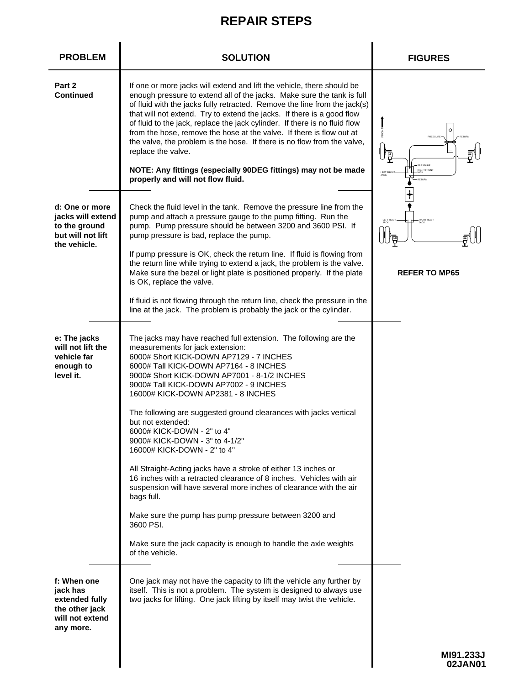| <b>PROBLEM</b>                                                                              | <b>SOLUTION</b>                                                                                                                                                                                                                                                                                                                                                                                                                                                                                                                                                                                                                                                                                                                                                                                                                                                                                             | <b>FIGURES</b>                                                                                     |
|---------------------------------------------------------------------------------------------|-------------------------------------------------------------------------------------------------------------------------------------------------------------------------------------------------------------------------------------------------------------------------------------------------------------------------------------------------------------------------------------------------------------------------------------------------------------------------------------------------------------------------------------------------------------------------------------------------------------------------------------------------------------------------------------------------------------------------------------------------------------------------------------------------------------------------------------------------------------------------------------------------------------|----------------------------------------------------------------------------------------------------|
| Part 2<br><b>Continued</b>                                                                  | If one or more jacks will extend and lift the vehicle, there should be<br>enough pressure to extend all of the jacks. Make sure the tank is full<br>of fluid with the jacks fully retracted. Remove the line from the jack(s)<br>that will not extend. Try to extend the jacks. If there is a good flow<br>of fluid to the jack, replace the jack cylinder. If there is no fluid flow<br>from the hose, remove the hose at the valve. If there is flow out at<br>the valve, the problem is the hose. If there is no flow from the valve,<br>replace the valve.<br>NOTE: Any fittings (especially 90DEG fittings) may not be made<br>properly and will not flow fluid.                                                                                                                                                                                                                                       | FRONT<br>O<br>PRESSURE<br>龗<br><b>RESSURE</b><br>RIGHT FRONT<br>LEFT FRON<br>JACK<br><b>RETURN</b> |
| d: One or more<br>jacks will extend<br>to the ground<br>but will not lift<br>the vehicle.   | Check the fluid level in the tank. Remove the pressure line from the<br>pump and attach a pressure gauge to the pump fitting. Run the<br>pump. Pump pressure should be between 3200 and 3600 PSI. If<br>pump pressure is bad, replace the pump.<br>If pump pressure is OK, check the return line. If fluid is flowing from<br>the return line while trying to extend a jack, the problem is the valve.<br>Make sure the bezel or light plate is positioned properly. If the plate<br>is OK, replace the valve.                                                                                                                                                                                                                                                                                                                                                                                              | <b>REFER TO MP65</b>                                                                               |
|                                                                                             | If fluid is not flowing through the return line, check the pressure in the<br>line at the jack. The problem is probably the jack or the cylinder.                                                                                                                                                                                                                                                                                                                                                                                                                                                                                                                                                                                                                                                                                                                                                           |                                                                                                    |
| e: The jacks<br>will not lift the<br>vehicle far<br>enough to<br>level it.                  | The jacks may have reached full extension. The following are the<br>measurements for jack extension:<br>6000# Short KICK-DOWN AP7129 - 7 INCHES<br>6000# Tall KICK-DOWN AP7164 - 8 INCHES<br>9000# Short KICK-DOWN AP7001 - 8-1/2 INCHES<br>9000# Tall KICK-DOWN AP7002 - 9 INCHES<br>16000# KICK-DOWN AP2381 - 8 INCHES<br>The following are suggested ground clearances with jacks vertical<br>but not extended:<br>6000# KICK-DOWN - 2" to 4"<br>9000# KICK-DOWN - 3" to 4-1/2"<br>16000# KICK-DOWN - 2" to 4"<br>All Straight-Acting jacks have a stroke of either 13 inches or<br>16 inches with a retracted clearance of 8 inches. Vehicles with air<br>suspension will have several more inches of clearance with the air<br>bags full.<br>Make sure the pump has pump pressure between 3200 and<br>3600 PSI.<br>Make sure the jack capacity is enough to handle the axle weights<br>of the vehicle. |                                                                                                    |
| f: When one<br>jack has<br>extended fully<br>the other jack<br>will not extend<br>any more. | One jack may not have the capacity to lift the vehicle any further by<br>itself. This is not a problem. The system is designed to always use<br>two jacks for lifting. One jack lifting by itself may twist the vehicle.                                                                                                                                                                                                                                                                                                                                                                                                                                                                                                                                                                                                                                                                                    |                                                                                                    |
|                                                                                             |                                                                                                                                                                                                                                                                                                                                                                                                                                                                                                                                                                                                                                                                                                                                                                                                                                                                                                             | MI91.233J<br>02JAN01                                                                               |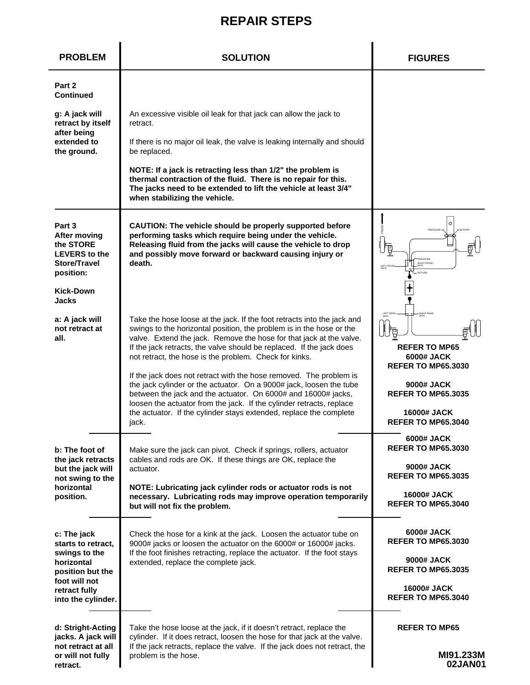| <b>PROBLEM</b>                                                                           | <b>SOLUTION</b>                                                                                                                                                                                                                                                                                                                                          | <b>FIGURES</b>                                                                                            |
|------------------------------------------------------------------------------------------|----------------------------------------------------------------------------------------------------------------------------------------------------------------------------------------------------------------------------------------------------------------------------------------------------------------------------------------------------------|-----------------------------------------------------------------------------------------------------------|
| Part 2<br><b>Continued</b>                                                               |                                                                                                                                                                                                                                                                                                                                                          |                                                                                                           |
| g: A jack will<br>retract by itself                                                      | An excessive visible oil leak for that jack can allow the jack to<br>retract.                                                                                                                                                                                                                                                                            |                                                                                                           |
| after being<br>extended to<br>the ground.                                                | If there is no major oil leak, the valve is leaking internally and should<br>be replaced.                                                                                                                                                                                                                                                                |                                                                                                           |
|                                                                                          | NOTE: If a jack is retracting less than 1/2" the problem is<br>thermal contraction of the fluid. There is no repair for this.<br>The jacks need to be extended to lift the vehicle at least 3/4"<br>when stabilizing the vehicle.                                                                                                                        |                                                                                                           |
| Part 3<br>After moving<br>the STORE<br><b>LEVERS</b> to the<br>Store/Travel<br>position: | CAUTION: The vehicle should be properly supported before<br>performing tasks which require being under the vehicle.<br>Releasing fluid from the jacks will cause the vehicle to drop<br>and possibly move forward or backward causing injury or<br>death.                                                                                                | $\circ$<br>PRESSURE<br>Ģ<br>T<br>PRESSURE<br>RIGHT FRONT<br>LEFT FROM<br>JACK                             |
| <b>Kick-Down</b><br>Jacks                                                                |                                                                                                                                                                                                                                                                                                                                                          |                                                                                                           |
| a: A jack will<br>not retract at<br>all.                                                 | Take the hose loose at the jack. If the foot retracts into the jack and<br>swings to the horizontal position, the problem is in the hose or the<br>valve. Extend the jack. Remove the hose for that jack at the valve.<br>If the jack retracts, the valve should be replaced. If the jack does<br>not retract, the hose is the problem. Check for kinks. | LEFT REAR<br>JACK<br><b>RIGHT REAR</b><br><b>REFER TO MP65</b><br>6000# JACK<br><b>REFER TO MP65.3030</b> |
|                                                                                          | If the jack does not retract with the hose removed. The problem is<br>the jack cylinder or the actuator. On a 9000# jack, loosen the tube<br>between the jack and the actuator. On 6000# and 16000# jacks,<br>loosen the actuator from the jack. If the cylinder retracts, replace                                                                       | 9000# JACK<br><b>REFER TO MP65.3035</b>                                                                   |
|                                                                                          | the actuator. If the cylinder stays extended, replace the complete<br>jack.                                                                                                                                                                                                                                                                              | 16000# JACK<br><b>REFER TO MP65.3040</b>                                                                  |
| b: The foot of                                                                           | Make sure the jack can pivot. Check if springs, rollers, actuator<br>cables and rods are OK. If these things are OK, replace the                                                                                                                                                                                                                         | 6000# JACK<br><b>REFER TO MP65.3030</b>                                                                   |
| the jack retracts<br>but the jack will<br>not swing to the<br>horizontal                 | actuator.<br>NOTE: Lubricating jack cylinder rods or actuator rods is not                                                                                                                                                                                                                                                                                | 9000# JACK<br><b>REFER TO MP65.3035</b>                                                                   |
| position.                                                                                | necessary. Lubricating rods may improve operation temporarily<br>but will not fix the problem.                                                                                                                                                                                                                                                           | 16000# JACK<br><b>REFER TO MP65.3040</b>                                                                  |
| c: The jack<br>starts to retract,                                                        | Check the hose for a kink at the jack. Loosen the actuator tube on<br>9000# jacks or loosen the actuator on the 6000# or 16000# jacks.                                                                                                                                                                                                                   | 6000# JACK<br><b>REFER TO MP65.3030</b>                                                                   |
| swings to the<br>horizontal<br>position but the                                          | If the foot finishes retracting, replace the actuator. If the foot stays<br>extended, replace the complete jack.                                                                                                                                                                                                                                         | 9000# JACK<br><b>REFER TO MP65.3035</b>                                                                   |
| foot will not<br>retract fully<br>into the cylinder.                                     |                                                                                                                                                                                                                                                                                                                                                          | 16000# JACK<br><b>REFER TO MP65.3040</b>                                                                  |
| d: Stright-Acting<br>jacks. A jack will                                                  | Take the hose loose at the jack, if it doesn't retract, replace the<br>cylinder. If it does retract, loosen the hose for that jack at the valve.                                                                                                                                                                                                         | <b>REFER TO MP65</b>                                                                                      |
| not retract at all<br>or will not fully<br>retract.                                      | If the jack retracts, replace the valve. If the jack does not retract, the<br>problem is the hose.                                                                                                                                                                                                                                                       | MI91.233M<br>02JAN01                                                                                      |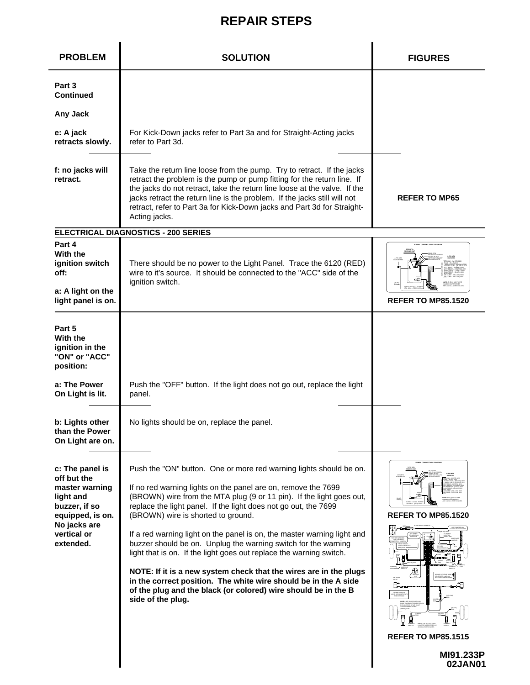| <b>PROBLEM</b>                                                                                                                                                   | <b>SOLUTION</b>                                                                                                                                                                                                                                                                                                                                                                                                                                                                                                                                                                                                                                                                                                                                                         | <b>FIGURES</b>                                                                              |
|------------------------------------------------------------------------------------------------------------------------------------------------------------------|-------------------------------------------------------------------------------------------------------------------------------------------------------------------------------------------------------------------------------------------------------------------------------------------------------------------------------------------------------------------------------------------------------------------------------------------------------------------------------------------------------------------------------------------------------------------------------------------------------------------------------------------------------------------------------------------------------------------------------------------------------------------------|---------------------------------------------------------------------------------------------|
| Part 3<br>Continued<br>Any Jack                                                                                                                                  |                                                                                                                                                                                                                                                                                                                                                                                                                                                                                                                                                                                                                                                                                                                                                                         |                                                                                             |
| e: A jack<br>retracts slowly.                                                                                                                                    | For Kick-Down jacks refer to Part 3a and for Straight-Acting jacks<br>refer to Part 3d.                                                                                                                                                                                                                                                                                                                                                                                                                                                                                                                                                                                                                                                                                 |                                                                                             |
| f: no jacks will<br>retract.                                                                                                                                     | Take the return line loose from the pump. Try to retract. If the jacks<br>retract the problem is the pump or pump fitting for the return line. If<br>the jacks do not retract, take the return line loose at the valve. If the<br>jacks retract the return line is the problem. If the jacks still will not<br>retract, refer to Part 3a for Kick-Down jacks and Part 3d for Straight-<br>Acting jacks.                                                                                                                                                                                                                                                                                                                                                                 | <b>REFER TO MP65</b>                                                                        |
|                                                                                                                                                                  | ELECTRICAL DIAGNOSTICS - 200 SERIES                                                                                                                                                                                                                                                                                                                                                                                                                                                                                                                                                                                                                                                                                                                                     |                                                                                             |
| Part 4<br>With the<br>ignition switch<br>off:<br>a: A light on the<br>light panel is on.                                                                         | There should be no power to the Light Panel. Trace the 6120 (RED)<br>wire to it's source. It should be connected to the "ACC" side of the<br>ignition switch.                                                                                                                                                                                                                                                                                                                                                                                                                                                                                                                                                                                                           | <b>REFER TO MP85.1520</b>                                                                   |
| Part 5<br>With the<br>ignition in the<br>"ON" or "ACC"<br>position:<br>a: The Power<br>On Light is lit.<br>b: Lights other<br>than the Power<br>On Light are on. | Push the "OFF" button. If the light does not go out, replace the light<br>panel.<br>No lights should be on, replace the panel.                                                                                                                                                                                                                                                                                                                                                                                                                                                                                                                                                                                                                                          |                                                                                             |
| c: The panel is<br>off but the<br>master warning<br>light and<br>buzzer, if so<br>equipped, is on.<br>No jacks are<br>vertical or<br>extended.                   | Push the "ON" button. One or more red warning lights should be on.<br>If no red warning lights on the panel are on, remove the 7699<br>(BROWN) wire from the MTA plug (9 or 11 pin). If the light goes out,<br>replace the light panel. If the light does not go out, the 7699<br>(BROWN) wire is shorted to ground.<br>If a red warning light on the panel is on, the master warning light and<br>buzzer should be on. Unplug the warning switch for the warning<br>light that is on. If the light goes out replace the warning switch.<br>NOTE: If it is a new system check that the wires are in the plugs<br>in the correct position. The white wire should be in the A side<br>of the plug and the black (or colored) wire should be in the B<br>side of the plug. | AND CONNECTION DIAGO<br><b>REFER TO MP85.1520</b><br><b>REFER TO MP85.1515</b><br>MI91.233P |
|                                                                                                                                                                  |                                                                                                                                                                                                                                                                                                                                                                                                                                                                                                                                                                                                                                                                                                                                                                         | 02JAN01                                                                                     |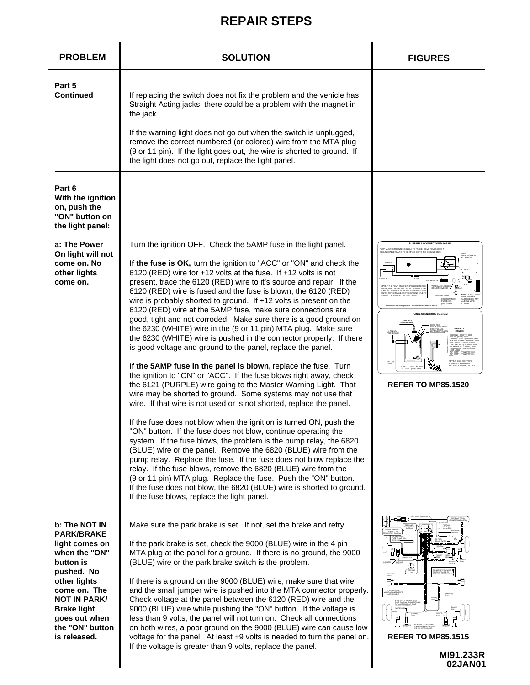| <b>PROBLEM</b>                                                                                                                                                                                                                    | <b>SOLUTION</b>                                                                                                                                                                                                                                                                                                                                                                                                                                                                                                                                                                                                                                                                                                                                                                                                                                                                                                                                                                                                                                                                                                                                                                                                                                                                                                                                                                                                                                                                                                                                                                                                                                                                                                                           | <b>FIGURES</b>                                                                                                                                                                                                                                                                                                                        |
|-----------------------------------------------------------------------------------------------------------------------------------------------------------------------------------------------------------------------------------|-------------------------------------------------------------------------------------------------------------------------------------------------------------------------------------------------------------------------------------------------------------------------------------------------------------------------------------------------------------------------------------------------------------------------------------------------------------------------------------------------------------------------------------------------------------------------------------------------------------------------------------------------------------------------------------------------------------------------------------------------------------------------------------------------------------------------------------------------------------------------------------------------------------------------------------------------------------------------------------------------------------------------------------------------------------------------------------------------------------------------------------------------------------------------------------------------------------------------------------------------------------------------------------------------------------------------------------------------------------------------------------------------------------------------------------------------------------------------------------------------------------------------------------------------------------------------------------------------------------------------------------------------------------------------------------------------------------------------------------------|---------------------------------------------------------------------------------------------------------------------------------------------------------------------------------------------------------------------------------------------------------------------------------------------------------------------------------------|
| Part 5<br><b>Continued</b>                                                                                                                                                                                                        | If replacing the switch does not fix the problem and the vehicle has<br>Straight Acting jacks, there could be a problem with the magnet in<br>the jack.<br>If the warning light does not go out when the switch is unplugged,<br>remove the correct numbered (or colored) wire from the MTA plug<br>(9 or 11 pin). If the light goes out, the wire is shorted to ground. If<br>the light does not go out, replace the light panel.                                                                                                                                                                                                                                                                                                                                                                                                                                                                                                                                                                                                                                                                                                                                                                                                                                                                                                                                                                                                                                                                                                                                                                                                                                                                                                        |                                                                                                                                                                                                                                                                                                                                       |
| Part 6<br>With the ignition<br>on, push the<br>"ON" button on<br>the light panel:                                                                                                                                                 |                                                                                                                                                                                                                                                                                                                                                                                                                                                                                                                                                                                                                                                                                                                                                                                                                                                                                                                                                                                                                                                                                                                                                                                                                                                                                                                                                                                                                                                                                                                                                                                                                                                                                                                                           |                                                                                                                                                                                                                                                                                                                                       |
| a: The Power<br>On light will not<br>come on. No<br>other lights<br>come on.                                                                                                                                                      | Turn the ignition OFF. Check the 5AMP fuse in the light panel.<br>If the fuse is OK, turn the ignition to "ACC" or "ON" and check the<br>6120 (RED) wire for +12 volts at the fuse. If +12 volts is not<br>present, trace the 6120 (RED) wire to it's source and repair. If the<br>6120 (RED) wire is fused and the fuse is blown, the 6120 (RED)<br>wire is probably shorted to ground. If +12 volts is present on the<br>6120 (RED) wire at the 5AMP fuse, make sure connections are<br>good, tight and not corroded. Make sure there is a good ground on<br>the 6230 (WHITE) wire in the (9 or 11 pin) MTA plug. Make sure<br>the 6230 (WHITE) wire is pushed in the connector properly. If there<br>is good voltage and ground to the panel, replace the panel.<br>If the 5AMP fuse in the panel is blown, replace the fuse. Turn<br>the ignition to "ON" or "ACC". If the fuse blows right away, check<br>the 6121 (PURPLE) wire going to the Master Warning Light. That<br>wire may be shorted to ground. Some systems may not use that<br>wire. If that wire is not used or is not shorted, replace the panel.<br>If the fuse does not blow when the ignition is turned ON, push the<br>"ON" button. If the fuse does not blow, continue operating the<br>system. If the fuse blows, the problem is the pump relay, the 6820<br>(BLUE) wire or the panel. Remove the 6820 (BLUE) wire from the<br>pump relay. Replace the fuse. If the fuse does not blow replace the<br>relay. If the fuse blows, remove the 6820 (BLUE) wire from the<br>(9 or 11 pin) MTA plug. Replace the fuse. Push the "ON" button.<br>If the fuse does not blow, the 6820 (BLUE) wire is shorted to ground.<br>If the fuse blows, replace the light panel. | PUMP RELAY CONNECTION DIAGRA<br>MP MUST BE MOUNTED SOLIDLY TO FRAME. SOME PUMPS HAVE.<br>IOUND CABLE THAT IS TO BE ATTACHED TO THE GROUND STUD.<br>i<br><b>IOTE:</b> IF THE PUMP BRACKET IS WELDED TO T<br>RAME, USE THE GROUND STUD TO ATTACH T<br>PANEL CONNECTION DIAGR<br>4-PIN M<br>(BLUE)<br>9000-<br><b>REFER TO MP85.1520</b> |
| b: The NOT IN<br><b>PARK/BRAKE</b><br>light comes on<br>when the "ON"<br>button is<br>pushed. No<br>other lights<br>come on. The<br><b>NOT IN PARK/</b><br><b>Brake light</b><br>goes out when<br>the "ON" button<br>is released. | Make sure the park brake is set. If not, set the brake and retry.<br>If the park brake is set, check the 9000 (BLUE) wire in the 4 pin<br>MTA plug at the panel for a ground. If there is no ground, the 9000<br>(BLUE) wire or the park brake switch is the problem.<br>If there is a ground on the 9000 (BLUE) wire, make sure that wire<br>and the small jumper wire is pushed into the MTA connector properly.<br>Check voltage at the panel between the 6120 (RED) wire and the<br>9000 (BLUE) wire while pushing the "ON" button. If the voltage is<br>less than 9 volts, the panel will not turn on. Check all connections<br>on both wires, a poor ground on the 9000 (BLUE) wire can cause low<br>voltage for the panel. At least +9 volts is needed to turn the panel on.<br>If the voltage is greater than 9 volts, replace the panel.                                                                                                                                                                                                                                                                                                                                                                                                                                                                                                                                                                                                                                                                                                                                                                                                                                                                                         | ⊕<br>₿.<br><b>REFER TO MP85.1515</b>                                                                                                                                                                                                                                                                                                  |

**MI91.233R 02JAN01**

I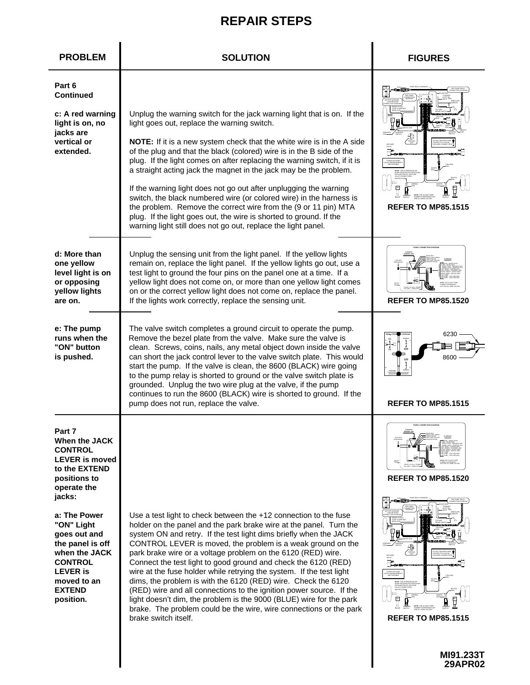| <b>PROBLEM</b>                                                                                                                                                    | <b>SOLUTION</b>                                                                                                                                                                                                                                                                                                                                                                                                                                                                                                                                                                                                                                                                                                                                                                                   | <b>FIGURES</b>                                        |
|-------------------------------------------------------------------------------------------------------------------------------------------------------------------|---------------------------------------------------------------------------------------------------------------------------------------------------------------------------------------------------------------------------------------------------------------------------------------------------------------------------------------------------------------------------------------------------------------------------------------------------------------------------------------------------------------------------------------------------------------------------------------------------------------------------------------------------------------------------------------------------------------------------------------------------------------------------------------------------|-------------------------------------------------------|
| Part 6<br><b>Continued</b><br>c: A red warning<br>light is on, no<br>jacks are<br>vertical or<br>extended.                                                        | Unplug the warning switch for the jack warning light that is on. If the<br>light goes out, replace the warning switch.<br>NOTE: If it is a new system check that the white wire is in the A side<br>of the plug and that the black (colored) wire is in the B side of the<br>plug. If the light comes on after replacing the warning switch, if it is<br>a straight acting jack the magnet in the jack may be the problem.<br>If the warning light does not go out after unplugging the warning<br>switch, the black numbered wire (or colored wire) in the harness is<br>the problem. Remove the correct wire from the (9 or 11 pin) MTA<br>plug. If the light goes out, the wire is shorted to ground. If the<br>warning light still does not go out, replace the light panel.                  | ⊐⊣<br><b>REFER TO MP85.1515</b>                       |
| d: More than<br>one yellow<br>level light is on<br>or opposing<br>yellow lights<br>are on.                                                                        | Unplug the sensing unit from the light panel. If the yellow lights<br>remain on, replace the light panel. If the yellow lights go out, use a<br>test light to ground the four pins on the panel one at a time. If a<br>yellow light does not come on, or more than one yellow light comes<br>on or the correct yellow light does not come on, replace the panel.<br>If the lights work correctly, replace the sensing unit.                                                                                                                                                                                                                                                                                                                                                                       | PANEL CONNECTION DIAGRAN<br><b>REFER TO MP85.1520</b> |
| e: The pump<br>runs when the<br>"ON" button<br>is pushed.                                                                                                         | The valve switch completes a ground circuit to operate the pump.<br>Remove the bezel plate from the valve. Make sure the valve is<br>clean. Screws, coins, nails, any metal object down inside the valve<br>can short the jack control lever to the valve switch plate. This would<br>start the pump. If the valve is clean, the 8600 (BLACK) wire going<br>to the pump relay is shorted to ground or the valve switch plate is<br>grounded. Unplug the two wire plug at the valve, if the pump<br>continues to run the 8600 (BLACK) wire is shorted to ground. If the<br>pump does not run, replace the valve.                                                                                                                                                                                   | 6230<br>8600<br><b>REFER TO MP85.1515</b>             |
| Part 7<br>When the JACK<br><b>CONTROL</b><br><b>LEVER</b> is moved<br>to the EXTEND<br>positions to<br>operate the<br>jacks:                                      |                                                                                                                                                                                                                                                                                                                                                                                                                                                                                                                                                                                                                                                                                                                                                                                                   | <b>REFER TO MP85.1520</b>                             |
| a: The Power<br>"ON" Light<br>goes out and<br>the panel is off<br>when the JACK<br><b>CONTROL</b><br><b>LEVER</b> is<br>moved to an<br><b>EXTEND</b><br>position. | Use a test light to check between the +12 connection to the fuse<br>holder on the panel and the park brake wire at the panel. Turn the<br>system ON and retry. If the test light dims briefly when the JACK<br>CONTROL LEVER is moved, the problem is a weak ground on the<br>park brake wire or a voltage problem on the 6120 (RED) wire.<br>Connect the test light to good ground and check the 6120 (RED)<br>wire at the fuse holder while retrying the system. If the test light<br>dims, the problem is with the 6120 (RED) wire. Check the 6120<br>(RED) wire and all connections to the ignition power source. If the<br>light doesn't dim, the problem is the 9000 (BLUE) wire for the park<br>brake. The problem could be the wire, wire connections or the park<br>brake switch itself. | F.<br>₽<br><b>REFER TO MP85.1515</b>                  |

I  $\mathbf l$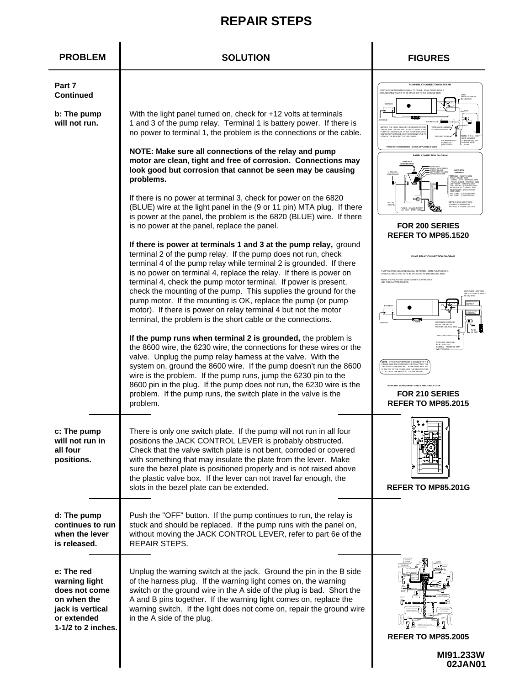| <b>PROBLEM</b>                                                                                                         | <b>SOLUTION</b>                                                                                                                                                                                                                                                                                                                                                                                                                                                                                                                                                                                                          | <b>FIGURES</b>                                                                                                                                                                                                                                                                                                                                                                     |
|------------------------------------------------------------------------------------------------------------------------|--------------------------------------------------------------------------------------------------------------------------------------------------------------------------------------------------------------------------------------------------------------------------------------------------------------------------------------------------------------------------------------------------------------------------------------------------------------------------------------------------------------------------------------------------------------------------------------------------------------------------|------------------------------------------------------------------------------------------------------------------------------------------------------------------------------------------------------------------------------------------------------------------------------------------------------------------------------------------------------------------------------------|
| Part 7<br><b>Continued</b>                                                                                             |                                                                                                                                                                                                                                                                                                                                                                                                                                                                                                                                                                                                                          | PUMP RELAY CONNECTION DIAGRAM<br>FUMP MUST BE MOUNTED SOLIDLY TO FRAME. SOME PUMPS HAVE A<br>SROUND CABLE THAT IS TO BE ATTACHED TO THE GROUND STUD.                                                                                                                                                                                                                               |
| b: The pump<br>will not run.                                                                                           | With the light panel turned on, check for +12 volts at terminals<br>1 and 3 of the pump relay. Terminal 1 is battery power. If there is<br>no power to terminal 1, the problem is the connections or the cable.                                                                                                                                                                                                                                                                                                                                                                                                          | THE THE RUMP REACKET IS WELDED TO T<br>USE THE GROUND STUD TO ATTACK<br>O THE BRACKET. IF THE PUMP BRACK<br>TACH THE REACKET TO THE EBAM                                                                                                                                                                                                                                           |
|                                                                                                                        | NOTE: Make sure all connections of the relay and pump<br>motor are clean, tight and free of corrosion. Connections may<br>look good but corrosion that cannot be seen may be causing<br>problems.                                                                                                                                                                                                                                                                                                                                                                                                                        | WHITE) 6230<br>PANEL CONNECTION DIAGRA                                                                                                                                                                                                                                                                                                                                             |
|                                                                                                                        | If there is no power at terminal 3, check for power on the 6820<br>(BLUE) wire at the light panel in the (9 or 11 pin) MTA plug. If there<br>is power at the panel, the problem is the 6820 (BLUE) wire. If there<br>is no power at the panel, replace the panel.                                                                                                                                                                                                                                                                                                                                                        | <b>FOR 200 SERIES</b><br><b>REFER TO MP85.1520</b>                                                                                                                                                                                                                                                                                                                                 |
|                                                                                                                        | If there is power at terminals 1 and 3 at the pump relay, ground<br>terminal 2 of the pump relay. If the pump does not run, check<br>terminal 4 of the pump relay while terminal 2 is grounded. If there<br>is no power on terminal 4, replace the relay. If there is power on<br>terminal 4, check the pump motor terminal. If power is present,<br>check the mounting of the pump. This supplies the ground for the<br>pump motor. If the mounting is OK, replace the pump (or pump<br>motor). If there is power on relay terminal 4 but not the motor<br>terminal, the problem is the short cable or the connections. | PUMP RELAY CONNECTION DIAGRAM<br>IMP MUST BE MOUNTED SOLIDLY TO FRAME. SOME PUMPS HAVE A<br>SROLIND CARLE THAT IS TO BE ATTACHED TO THE GROLIND STUD<br>OTE: THE FOUR DIGIT WIRE NUMBER SUPERSEDES<br>VY AND ALL WIRE COLORS<br>ارصي<br>SWITCHED GROU<br>FROM THE VALVE                                                                                                            |
|                                                                                                                        | If the pump runs when terminal 2 is grounded, the problem is<br>the 8600 wire, the 6230 wire, the connections for these wires or the<br>valve. Unplug the pump relay harness at the valve. With the<br>system on, ground the 8600 wire. If the pump doesn't run the 8600<br>wire is the problem. If the pump runs, jump the 6230 pin to the<br>8600 pin in the plug. If the pump does not run, the 6230 wire is the<br>problem. If the pump runs, the switch plate in the valve is the<br>problem.                                                                                                                       | Ġ<br>WITCH - (BLACK)<br>GROUND STUD<br>CENTRAL GROUND<br>NOTE : IF THE PUMP BRACKET IS WELDED TO TI<br>FRAME, USE THE GROUND STUD TO ATTACH THE PUMP TO THE BRACKET. IF THE PUMP BRACK<br>IS BOLTED TO THE BRACKET. USE THE GROUND ST<br>TO ATTACH THE BRACKET TO THE FRAME.<br>FURE MAY RE REQUIRED - CHECK APPLICARLE CODE<br><b>FOR 210 SERIES</b><br><b>REFER TO MP85.2015</b> |
| c: The pump<br>will not run in<br>all four<br>positions.                                                               | There is only one switch plate. If the pump will not run in all four<br>positions the JACK CONTROL LEVER is probably obstructed.<br>Check that the valve switch plate is not bent, corroded or covered<br>with something that may insulate the plate from the lever. Make<br>sure the bezel plate is positioned properly and is not raised above<br>the plastic valve box. If the lever can not travel far enough, the<br>slots in the bezel plate can be extended.                                                                                                                                                      | $\ddot{\bullet}$ . $\ddot{\bullet}$<br>REFER TO MP85.201G                                                                                                                                                                                                                                                                                                                          |
| d: The pump<br>continues to run<br>when the lever<br>is released.                                                      | Push the "OFF" button. If the pump continues to run, the relay is<br>stuck and should be replaced. If the pump runs with the panel on,<br>without moving the JACK CONTROL LEVER, refer to part 6e of the<br>REPAIR STEPS.                                                                                                                                                                                                                                                                                                                                                                                                |                                                                                                                                                                                                                                                                                                                                                                                    |
| e: The red<br>warning light<br>does not come<br>on when the<br>jack is vertical<br>or extended<br>$1-1/2$ to 2 inches. | Unplug the warning switch at the jack. Ground the pin in the B side<br>of the harness plug. If the warning light comes on, the warning<br>switch or the ground wire in the A side of the plug is bad. Short the<br>A and B pins together. If the warning light comes on, replace the<br>warning switch. If the light does not come on, repair the ground wire<br>in the A side of the plug.                                                                                                                                                                                                                              | <b>REFER TO MP85.2005</b>                                                                                                                                                                                                                                                                                                                                                          |
|                                                                                                                        |                                                                                                                                                                                                                                                                                                                                                                                                                                                                                                                                                                                                                          | MI91.233W<br>02JAN01                                                                                                                                                                                                                                                                                                                                                               |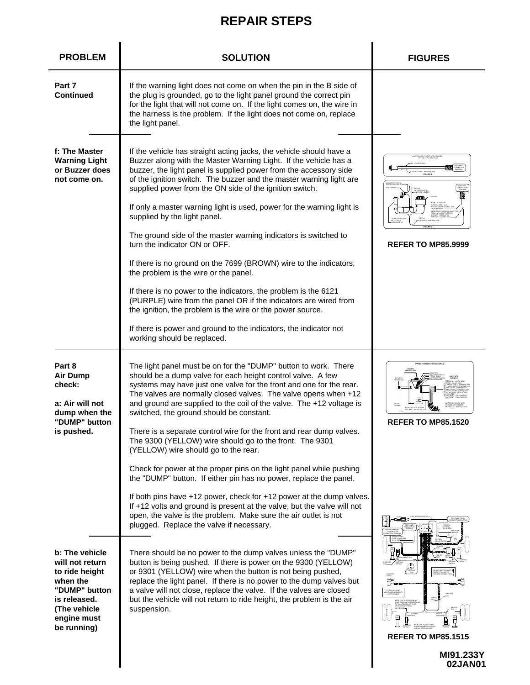| <b>PROBLEM</b>                                                                                                                                 | <b>SOLUTION</b>                                                                                                                                                                                                                                                                                                                                                                                                                                                                                                                                                                                                                                                                                                                                                                                                                                                                                                                                                                       | <b>FIGURES</b>                                                                      |
|------------------------------------------------------------------------------------------------------------------------------------------------|---------------------------------------------------------------------------------------------------------------------------------------------------------------------------------------------------------------------------------------------------------------------------------------------------------------------------------------------------------------------------------------------------------------------------------------------------------------------------------------------------------------------------------------------------------------------------------------------------------------------------------------------------------------------------------------------------------------------------------------------------------------------------------------------------------------------------------------------------------------------------------------------------------------------------------------------------------------------------------------|-------------------------------------------------------------------------------------|
| Part 7<br><b>Continued</b>                                                                                                                     | If the warning light does not come on when the pin in the B side of<br>the plug is grounded, go to the light panel ground the correct pin<br>for the light that will not come on. If the light comes on, the wire in<br>the harness is the problem. If the light does not come on, replace<br>the light panel.                                                                                                                                                                                                                                                                                                                                                                                                                                                                                                                                                                                                                                                                        |                                                                                     |
| f: The Master<br><b>Warning Light</b><br>or Buzzer does<br>not come on.                                                                        | If the vehicle has straight acting jacks, the vehicle should have a<br>Buzzer along with the Master Warning Light. If the vehicle has a<br>buzzer, the light panel is supplied power from the accessory side<br>of the ignition switch. The buzzer and the master warning light are<br>supplied power from the ON side of the ignition switch.<br>If only a master warning light is used, power for the warning light is<br>supplied by the light panel.<br>The ground side of the master warning indicators is switched to<br>turn the indicator ON or OFF.<br>If there is no ground on the 7699 (BROWN) wire to the indicators,<br>the problem is the wire or the panel.<br>If there is no power to the indicators, the problem is the 6121<br>(PURPLE) wire from the panel OR if the indicators are wired from<br>the ignition, the problem is the wire or the power source.<br>If there is power and ground to the indicators, the indicator not<br>working should be replaced.   | ING LIGHT WIRES ARE INCLUDE<br>IN 9 OR 11 PIN MTA PLUG<br><b>REFER TO MP85.9999</b> |
| Part 8<br><b>Air Dump</b><br>check:<br>a: Air will not<br>dump when the<br>"DUMP" button<br>is pushed.                                         | The light panel must be on for the "DUMP" button to work. There<br>should be a dump valve for each height control valve. A few<br>systems may have just one valve for the front and one for the rear.<br>The valves are normally closed valves. The valve opens when +12<br>and ground are supplied to the coil of the valve. The +12 voltage is<br>switched, the ground should be constant.<br>There is a separate control wire for the front and rear dump valves.<br>The 9300 (YELLOW) wire should go to the front. The 9301<br>(YELLOW) wire should go to the rear.<br>Check for power at the proper pins on the light panel while pushing<br>the "DUMP" button. If either pin has no power, replace the panel.<br>If both pins have +12 power, check for +12 power at the dump valves.<br>If +12 volts and ground is present at the valve, but the valve will not<br>open, the valve is the problem. Make sure the air outlet is not<br>plugged. Replace the valve if necessary. | <b>REFER TO MP85.1520</b>                                                           |
| b: The vehicle<br>will not return<br>to ride height<br>when the<br>"DUMP" button<br>is released.<br>(The vehicle<br>engine must<br>be running) | There should be no power to the dump valves unless the "DUMP"<br>button is being pushed. If there is power on the 9300 (YELLOW)<br>or 9301 (YELLOW) wire when the button is not being pushed,<br>replace the light panel. If there is no power to the dump valves but<br>a valve will not close, replace the valve. If the valves are closed<br>but the vehicle will not return to ride height, the problem is the air<br>suspension.                                                                                                                                                                                                                                                                                                                                                                                                                                                                                                                                                 | Ë.<br><b>REFER TO MP85.1515</b><br>MI91.233Y<br>02JAN01                             |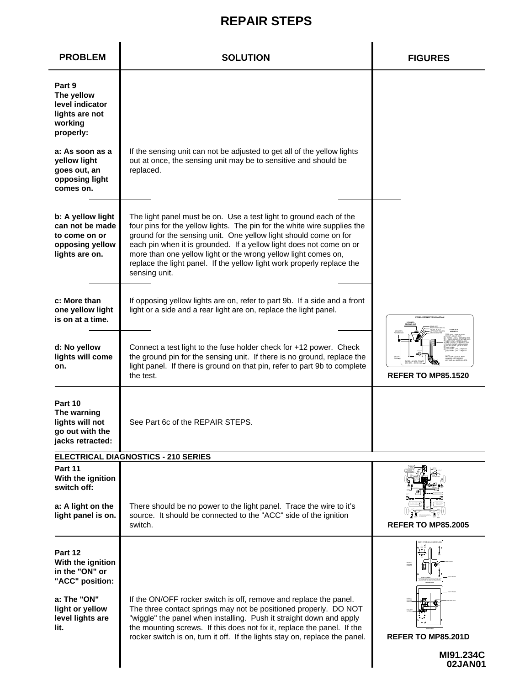| <b>PROBLEM</b>                                                                             | <b>SOLUTION</b>                                                                                                                                                                                                                                                                                                                                                                                                                                        | <b>FIGURES</b>            |
|--------------------------------------------------------------------------------------------|--------------------------------------------------------------------------------------------------------------------------------------------------------------------------------------------------------------------------------------------------------------------------------------------------------------------------------------------------------------------------------------------------------------------------------------------------------|---------------------------|
| Part 9<br>The yellow<br>level indicator<br>lights are not<br>working<br>properly:          |                                                                                                                                                                                                                                                                                                                                                                                                                                                        |                           |
| a: As soon as a<br><b>yellow light</b><br>goes out, an<br>opposing light<br>comes on.      | If the sensing unit can not be adjusted to get all of the yellow lights<br>out at once, the sensing unit may be to sensitive and should be<br>replaced.                                                                                                                                                                                                                                                                                                |                           |
| b: A yellow light<br>can not be made<br>to come on or<br>opposing yellow<br>lights are on. | The light panel must be on. Use a test light to ground each of the<br>four pins for the yellow lights. The pin for the white wire supplies the<br>ground for the sensing unit. One yellow light should come on for<br>each pin when it is grounded. If a yellow light does not come on or<br>more than one yellow light or the wrong yellow light comes on,<br>replace the light panel. If the yellow light work properly replace the<br>sensing unit. |                           |
| c: More than<br>one yellow light<br>is on at a time.                                       | If opposing yellow lights are on, refer to part 9b. If a side and a front<br>light or a side and a rear light are on, replace the light panel.                                                                                                                                                                                                                                                                                                         |                           |
| d: No yellow<br>lights will come<br>on.                                                    | Connect a test light to the fuse holder check for +12 power. Check<br>the ground pin for the sensing unit. If there is no ground, replace the<br>light panel. If there is ground on that pin, refer to part 9b to complete<br>the test.                                                                                                                                                                                                                | <b>REFER TO MP85.1520</b> |
| Part 10<br>The warning<br>lights will not<br>go out with the<br>jacks retracted:           | See Part 6c of the REPAIR STEPS.                                                                                                                                                                                                                                                                                                                                                                                                                       |                           |
|                                                                                            | ELECTRICAL DIAGNOSTICS - 210 SERIES                                                                                                                                                                                                                                                                                                                                                                                                                    |                           |
| Part 11<br>With the ignition<br>switch off:                                                |                                                                                                                                                                                                                                                                                                                                                                                                                                                        |                           |
| a: A light on the<br>light panel is on.                                                    | There should be no power to the light panel. Trace the wire to it's<br>source. It should be connected to the "ACC" side of the ignition<br>switch.                                                                                                                                                                                                                                                                                                     | <b>REFER TO MP85.2005</b> |
| Part 12<br>With the ignition<br>in the "ON" or<br>"ACC" position:                          |                                                                                                                                                                                                                                                                                                                                                                                                                                                        |                           |
| a: The "ON"<br>light or yellow<br>level lights are<br>lit.                                 | If the ON/OFF rocker switch is off, remove and replace the panel.<br>The three contact springs may not be positioned properly. DO NOT<br>"wiggle" the panel when installing. Push it straight down and apply<br>the mounting screws. If this does not fix it, replace the panel. If the<br>rocker switch is on, turn it off. If the lights stay on, replace the panel.                                                                                 | <b>REFER TO MP85.201D</b> |
|                                                                                            |                                                                                                                                                                                                                                                                                                                                                                                                                                                        | MI91.234C<br>02JAN01      |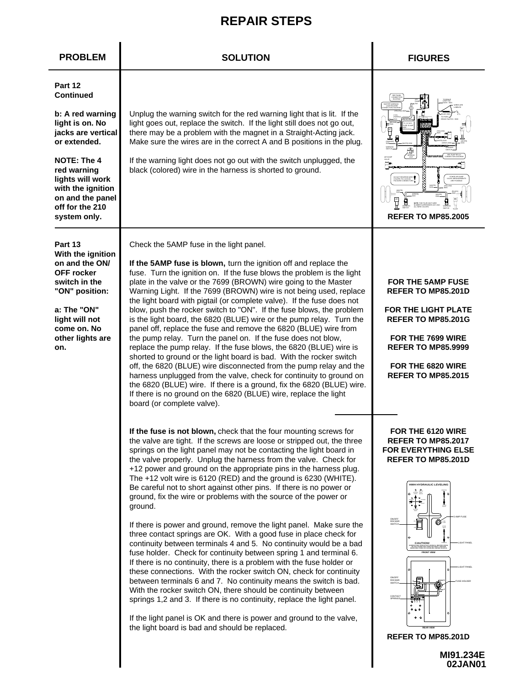| <b>PROBLEM</b>                                                                                                                                                                                                                         | <b>SOLUTION</b>                                                                                                                                                                                                                                                                                                                                                                                                                                                                                                                                                                                                                                                                                                                                                                                                                                                                                                                                                                                                                                                                                                                                                                                                                                                                                                                                                        | <b>FIGURES</b>                                                                                                                                                                                                                                                                                                        |
|----------------------------------------------------------------------------------------------------------------------------------------------------------------------------------------------------------------------------------------|------------------------------------------------------------------------------------------------------------------------------------------------------------------------------------------------------------------------------------------------------------------------------------------------------------------------------------------------------------------------------------------------------------------------------------------------------------------------------------------------------------------------------------------------------------------------------------------------------------------------------------------------------------------------------------------------------------------------------------------------------------------------------------------------------------------------------------------------------------------------------------------------------------------------------------------------------------------------------------------------------------------------------------------------------------------------------------------------------------------------------------------------------------------------------------------------------------------------------------------------------------------------------------------------------------------------------------------------------------------------|-----------------------------------------------------------------------------------------------------------------------------------------------------------------------------------------------------------------------------------------------------------------------------------------------------------------------|
| Part 12<br><b>Continued</b><br>b: A red warning<br>light is on. No<br>jacks are vertical<br>or extended.<br>NOTE: The 4<br>red warning<br>lights will work<br>with the ignition<br>on and the panel<br>off for the 210<br>system only. | Unplug the warning switch for the red warning light that is lit. If the<br>light goes out, replace the switch. If the light still does not go out,<br>there may be a problem with the magnet in a Straight-Acting jack.<br>Make sure the wires are in the correct A and B positions in the plug.<br>If the warning light does not go out with the switch unplugged, the<br>black (colored) wire in the harness is shorted to ground.                                                                                                                                                                                                                                                                                                                                                                                                                                                                                                                                                                                                                                                                                                                                                                                                                                                                                                                                   | ⊕<br>臣<br><b>REFER TO MP85,2005</b>                                                                                                                                                                                                                                                                                   |
| Part 13<br>With the ignition<br>on and the ON/<br><b>OFF</b> rocker<br>switch in the<br>"ON" position:<br>a: The "ON"<br>light will not<br>come on. No<br>other lights are<br>on.                                                      | Check the 5AMP fuse in the light panel.<br>If the 5AMP fuse is blown, turn the ignition off and replace the<br>fuse. Turn the ignition on. If the fuse blows the problem is the light<br>plate in the valve or the 7699 (BROWN) wire going to the Master<br>Warning Light. If the 7699 (BROWN) wire is not being used, replace<br>the light board with pigtail (or complete valve). If the fuse does not<br>blow, push the rocker switch to "ON". If the fuse blows, the problem<br>is the light board, the 6820 (BLUE) wire or the pump relay. Turn the<br>panel off, replace the fuse and remove the 6820 (BLUE) wire from<br>the pump relay. Turn the panel on. If the fuse does not blow,<br>replace the pump relay. If the fuse blows, the 6820 (BLUE) wire is<br>shorted to ground or the light board is bad. With the rocker switch<br>off, the 6820 (BLUE) wire disconnected from the pump relay and the<br>harness unplugged from the valve, check for continuity to ground on<br>the 6820 (BLUE) wire. If there is a ground, fix the 6820 (BLUE) wire.<br>If there is no ground on the 6820 (BLUE) wire, replace the light<br>board (or complete valve).                                                                                                                                                                                                     | <b>FOR THE 5AMP FUSE</b><br><b>REFER TO MP85.201D</b><br><b>FOR THE LIGHT PLATE</b><br><b>REFER TO MP85.201G</b><br>FOR THE 7699 WIRE<br><b>REFER TO MP85.9999</b><br>FOR THE 6820 WIRE<br><b>REFER TO MP85.2015</b>                                                                                                  |
|                                                                                                                                                                                                                                        | If the fuse is not blown, check that the four mounting screws for<br>the valve are tight. If the screws are loose or stripped out, the three<br>springs on the light panel may not be contacting the light board in<br>the valve properly. Unplug the harness from the valve. Check for<br>+12 power and ground on the appropriate pins in the harness plug.<br>The +12 volt wire is 6120 (RED) and the ground is 6230 (WHITE).<br>Be careful not to short against other pins. If there is no power or<br>ground, fix the wire or problems with the source of the power or<br>ground.<br>If there is power and ground, remove the light panel. Make sure the<br>three contact springs are OK. With a good fuse in place check for<br>continuity between terminals 4 and 5. No continuity would be a bad<br>fuse holder. Check for continuity between spring 1 and terminal 6.<br>If there is no continuity, there is a problem with the fuse holder or<br>these connections. With the rocker switch ON, check for continuity<br>between terminals 6 and 7. No continuity means the switch is bad.<br>With the rocker switch ON, there should be continuity between<br>springs 1,2 and 3. If there is no continuity, replace the light panel.<br>If the light panel is OK and there is power and ground to the valve,<br>the light board is bad and should be replaced. | FOR THE 6120 WIRE<br><b>REFER TO MP85.2017</b><br><b>FOR EVERYTHING ELSE</b><br><b>REFER TO MP85.201D</b><br>HWH HYDRAULIC LEVELING<br>ON/OFF<br>ROCKER<br>SWITCH<br>⊚≔<br><b>CAUTION</b><br>ON/OFF<br>ROCKER<br>SWITCH<br>CONTACT<br>$^{\circ}$ $^{\circ}$<br>۰<br><b>REFER TO MP85.201D</b><br>MI91.234E<br>02JAN01 |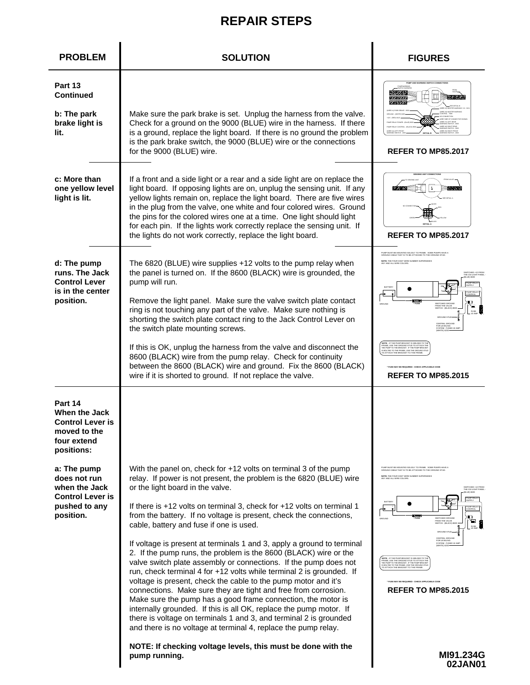| <b>PROBLEM</b>                                                                                        | <b>SOLUTION</b>                                                                                                                                                                                                                                                                                                                                                                                                                                                                                                                                                                                                                                                                                                                                                                                                                                                                                                                                                                                                                                                                   | <b>FIGURES</b>                                                                                                                                                                                                                                                                                                                                                                                                                                                                                                                                                                                                                                                                                                                 |
|-------------------------------------------------------------------------------------------------------|-----------------------------------------------------------------------------------------------------------------------------------------------------------------------------------------------------------------------------------------------------------------------------------------------------------------------------------------------------------------------------------------------------------------------------------------------------------------------------------------------------------------------------------------------------------------------------------------------------------------------------------------------------------------------------------------------------------------------------------------------------------------------------------------------------------------------------------------------------------------------------------------------------------------------------------------------------------------------------------------------------------------------------------------------------------------------------------|--------------------------------------------------------------------------------------------------------------------------------------------------------------------------------------------------------------------------------------------------------------------------------------------------------------------------------------------------------------------------------------------------------------------------------------------------------------------------------------------------------------------------------------------------------------------------------------------------------------------------------------------------------------------------------------------------------------------------------|
| Part 13<br><b>Continued</b><br>b: The park<br>brake light is<br>lit.                                  | Make sure the park brake is set. Unplug the harness from the valve.<br>Check for a ground on the 9000 (BLUE) wire in the harness. If there<br>is a ground, replace the light board. If there is no ground the problem<br>is the park brake switch, the 9000 (BLUE) wire or the connections<br>for the 9000 (BLUE) wire.                                                                                                                                                                                                                                                                                                                                                                                                                                                                                                                                                                                                                                                                                                                                                           | <b>REFER TO MP85.2017</b>                                                                                                                                                                                                                                                                                                                                                                                                                                                                                                                                                                                                                                                                                                      |
| c: More than<br>one yellow level<br>light is lit.                                                     | If a front and a side light or a rear and a side light are on replace the<br>light board. If opposing lights are on, unplug the sensing unit. If any<br>yellow lights remain on, replace the light board. There are five wires<br>in the plug from the valve, one white and four colored wires. Ground<br>the pins for the colored wires one at a time. One light should light<br>for each pin. If the lights work correctly replace the sensing unit. If<br>the lights do not work correctly, replace the light board.                                                                                                                                                                                                                                                                                                                                                                                                                                                                                                                                                           | <b>REFER TO MP85.2017</b>                                                                                                                                                                                                                                                                                                                                                                                                                                                                                                                                                                                                                                                                                                      |
| d: The pump<br>runs. The Jack<br><b>Control Lever</b><br>is in the center<br>position.                | The 6820 (BLUE) wire supplies +12 volts to the pump relay when<br>the panel is turned on. If the 8600 (BLACK) wire is grounded, the<br>pump will run.<br>Remove the light panel. Make sure the valve switch plate contact<br>ring is not touching any part of the valve. Make sure nothing is<br>shorting the switch plate contact ring to the Jack Control Lever on<br>the switch plate mounting screws.<br>If this is OK, unplug the harness from the valve and disconnect the<br>8600 (BLACK) wire from the pump relay. Check for continuity<br>between the 8600 (BLACK) wire and ground. Fix the 8600 (BLACK)<br>wire if it is shorted to ground. If not replace the valve.                                                                                                                                                                                                                                                                                                                                                                                                   | JMP MUST BE MOUNTED SOLIDLY TO FRAME. SOME PUMPS HAVE A<br>ROUND CABLE THAT IS TO BE ATTACHED TO THE GROUND STUD.<br>NOTE: THE FOUR DIGIT WIRE NUMBER SUPERSEDES<br><b>BATTER</b><br>o<br>HE BRACKET. IF THE PUMP<br><b>REFER TO MP85.2015</b>                                                                                                                                                                                                                                                                                                                                                                                                                                                                                 |
| Part 14<br>When the Jack<br><b>Control Lever is</b><br>moved to the<br>four extend<br>positions:      |                                                                                                                                                                                                                                                                                                                                                                                                                                                                                                                                                                                                                                                                                                                                                                                                                                                                                                                                                                                                                                                                                   |                                                                                                                                                                                                                                                                                                                                                                                                                                                                                                                                                                                                                                                                                                                                |
| a: The pump<br>does not run<br>when the Jack<br><b>Control Lever is</b><br>pushed to any<br>position. | With the panel on, check for +12 volts on terminal 3 of the pump<br>relay. If power is not present, the problem is the 6820 (BLUE) wire<br>or the light board in the valve.<br>If there is +12 volts on terminal 3, check for +12 volts on terminal 1<br>from the battery. If no voltage is present, check the connections,<br>cable, battery and fuse if one is used.<br>If voltage is present at terminals 1 and 3, apply a ground to terminal<br>2. If the pump runs, the problem is the 8600 (BLACK) wire or the<br>valve switch plate assembly or connections. If the pump does not<br>run, check terminal 4 for +12 volts while terminal 2 is grounded. If<br>voltage is present, check the cable to the pump motor and it's<br>connections. Make sure they are tight and free from corrosion.<br>Make sure the pump has a good frame connection, the motor is<br>internally grounded. If this is all OK, replace the pump motor. If<br>there is voltage on terminals 1 and 3, and terminal 2 is grounded<br>and there is no voltage at terminal 4, replace the pump relay. | FUMP MUST BE MOUNTED SOLIDLY TO FRAME. SOME PUMPS HAVE A<br>GROUND CABLE THAT IS TO BE ATTACHED TO THE GROUND STUD.<br>YE: THE FOUR DIGIT WIRE NUMBER SUPERSEDES<br>IY AND ALL WIRE COLORS.<br>SWITCHED 412 FROM<br>THE 210 LIGHT PANEL<br>MP REL<br>ONTRO<br>er <del>en 19</del><br>Truse<br>$\mathbf{p}$<br>SWITCHED GROUND<br>FROM THE VALVE<br>FUSE<br>10 AME<br>OR LEVELING<br>SYSTEM - FUSED 10 AMP<br>TEI 6230<br>IOTE : IF THE PUMP BRACKET IS WELDED TO TI<br>RAME, USE THE GROUND STUD TO ATTACH TI<br>HE PUMP TO THE RRACKET. IF THE PUMP BRACK<br>3 BOLTED TO THE FRAME, USE THE GROUND STI<br>ATTACH THE BRACKET TO THE FRAME<br><b>FUSE MAY BE REQUIRED - CHECK APPLICABLE CODE</b><br><b>REFER TO MP85.2015</b> |
|                                                                                                       | NOTE: If checking voltage levels, this must be done with the<br>pump running.                                                                                                                                                                                                                                                                                                                                                                                                                                                                                                                                                                                                                                                                                                                                                                                                                                                                                                                                                                                                     | MI91.234G<br>02JAN01                                                                                                                                                                                                                                                                                                                                                                                                                                                                                                                                                                                                                                                                                                           |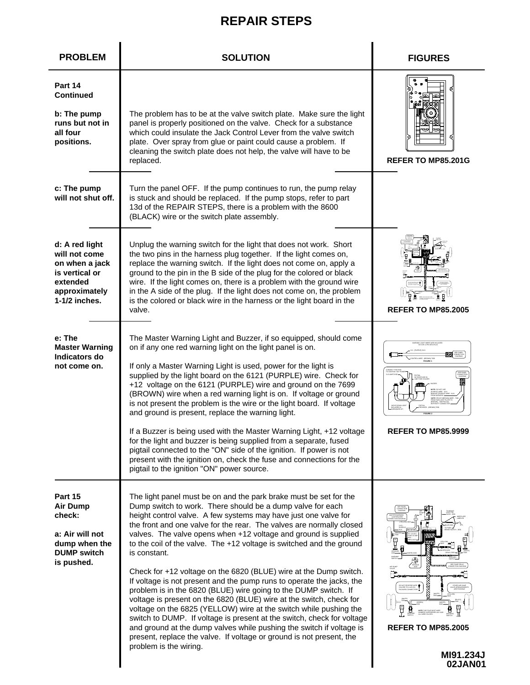| <b>PROBLEM</b>                                                                                                      | <b>SOLUTION</b>                                                                                                                                                                                                                                                                                                                                                                                                                                                                                                                                                                                                                                                                                                                                                                                                                                                                                                                                                                                                                                        | <b>FIGURES</b>                                                                                                    |
|---------------------------------------------------------------------------------------------------------------------|--------------------------------------------------------------------------------------------------------------------------------------------------------------------------------------------------------------------------------------------------------------------------------------------------------------------------------------------------------------------------------------------------------------------------------------------------------------------------------------------------------------------------------------------------------------------------------------------------------------------------------------------------------------------------------------------------------------------------------------------------------------------------------------------------------------------------------------------------------------------------------------------------------------------------------------------------------------------------------------------------------------------------------------------------------|-------------------------------------------------------------------------------------------------------------------|
| Part 14<br><b>Continued</b><br>b: The pump<br>runs but not in<br>all four<br>positions.                             | The problem has to be at the valve switch plate. Make sure the light<br>panel is properly positioned on the valve. Check for a substance<br>which could insulate the Jack Control Lever from the valve switch<br>plate. Over spray from glue or paint could cause a problem. If<br>cleaning the switch plate does not help, the valve will have to be<br>replaced.                                                                                                                                                                                                                                                                                                                                                                                                                                                                                                                                                                                                                                                                                     | <b>REFER TO MP85,201G</b>                                                                                         |
| c: The pump<br>will not shut off.                                                                                   | Turn the panel OFF. If the pump continues to run, the pump relay<br>is stuck and should be replaced. If the pump stops, refer to part<br>13d of the REPAIR STEPS, there is a problem with the 8600<br>(BLACK) wire or the switch plate assembly.                                                                                                                                                                                                                                                                                                                                                                                                                                                                                                                                                                                                                                                                                                                                                                                                       |                                                                                                                   |
| d: A red light<br>will not come<br>on when a jack<br>is vertical or<br>extended<br>approximately<br>$1-1/2$ inches. | Unplug the warning switch for the light that does not work. Short<br>the two pins in the harness plug together. If the light comes on,<br>replace the warning switch. If the light does not come on, apply a<br>ground to the pin in the B side of the plug for the colored or black<br>wire. If the light comes on, there is a problem with the ground wire<br>in the A side of the plug. If the light does not come on, the problem<br>is the colored or black wire in the harness or the light board in the<br>valve.                                                                                                                                                                                                                                                                                                                                                                                                                                                                                                                               | <b>REFER TO MP85.2005</b>                                                                                         |
| e: The<br><b>Master Warning</b><br>Indicators do<br>not come on.                                                    | The Master Warning Light and Buzzer, if so equipped, should come<br>on if any one red warning light on the light panel is on.<br>If only a Master Warning Light is used, power for the light is<br>supplied by the light board on the 6121 (PURPLE) wire. Check for<br>+12 voltage on the 6121 (PURPLE) wire and ground on the 7699<br>(BROWN) wire when a red warning light is on. If voltage or ground<br>is not present the problem is the wire or the light board. If voltage<br>and ground is present, replace the warning light.<br>If a Buzzer is being used with the Master Warning Light, +12 voltage<br>for the light and buzzer is being supplied from a separate, fused<br>pigtail connected to the "ON" side of the ignition. If power is not<br>present with the ignition on, check the fuse and connections for the<br>pigtail to the ignition "ON" power source.                                                                                                                                                                       | INRING LIGHT WIRES ARE INCLUDED<br>IN 9 OR 11 PIN MTA PLUG<br>(GROVN) 74<br>FIGURE 1<br><b>REFER TO MP85.9999</b> |
| Part 15<br><b>Air Dump</b><br>check:<br>a: Air will not<br>dump when the<br><b>DUMP</b> switch<br>is pushed.        | The light panel must be on and the park brake must be set for the<br>Dump switch to work. There should be a dump valve for each<br>height control valve. A few systems may have just one valve for<br>the front and one valve for the rear. The valves are normally closed<br>valves. The valve opens when +12 voltage and ground is supplied<br>to the coil of the valve. The +12 voltage is switched and the ground<br>is constant.<br>Check for +12 voltage on the 6820 (BLUE) wire at the Dump switch.<br>If voltage is not present and the pump runs to operate the jacks, the<br>problem is in the 6820 (BLUE) wire going to the DUMP switch. If<br>voltage is present on the 6820 (BLUE) wire at the switch, check for<br>voltage on the 6825 (YELLOW) wire at the switch while pushing the<br>switch to DUMP. If voltage is present at the switch, check for voltage<br>and ground at the dump valves while pushing the switch if voltage is<br>present, replace the valve. If voltage or ground is not present, the<br>problem is the wiring. | ⊕<br>뮴<br><b>REFER TO MP85.2005</b><br>MI91.234J<br>02JAN01                                                       |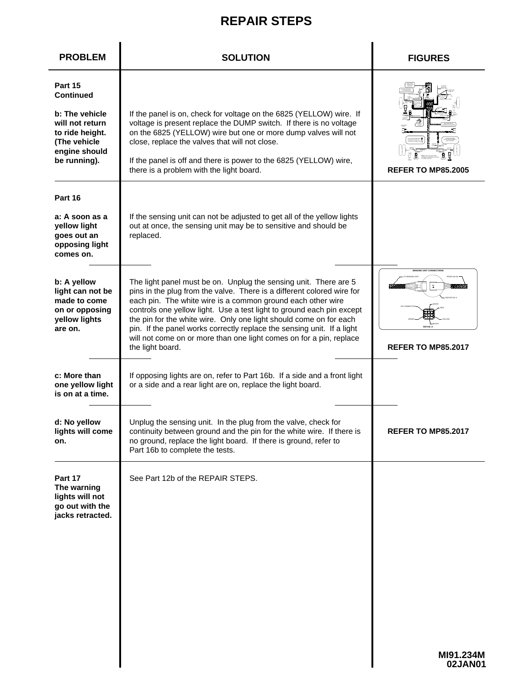| <b>PROBLEM</b>                                                                                                                       | <b>SOLUTION</b>                                                                                                                                                                                                                                                                                                                                                                                                                                                                                                               | <b>FIGURES</b>                                                           |
|--------------------------------------------------------------------------------------------------------------------------------------|-------------------------------------------------------------------------------------------------------------------------------------------------------------------------------------------------------------------------------------------------------------------------------------------------------------------------------------------------------------------------------------------------------------------------------------------------------------------------------------------------------------------------------|--------------------------------------------------------------------------|
| Part 15<br><b>Continued</b><br>b: The vehicle<br>will not return<br>to ride height.<br>(The vehicle<br>engine should<br>be running). | If the panel is on, check for voltage on the 6825 (YELLOW) wire. If<br>voltage is present replace the DUMP switch. If there is no voltage<br>on the 6825 (YELLOW) wire but one or more dump valves will not<br>close, replace the valves that will not close.<br>If the panel is off and there is power to the 6825 (YELLOW) wire,<br>there is a problem with the light board.                                                                                                                                                | <b>REFER TO MP85.2005</b>                                                |
| Part 16<br>a: A soon as a<br>yellow light<br>goes out an<br>opposing light<br>comes on.                                              | If the sensing unit can not be adjusted to get all of the yellow lights<br>out at once, the sensing unit may be to sensitive and should be<br>replaced.                                                                                                                                                                                                                                                                                                                                                                       |                                                                          |
| b: A yellow<br>light can not be<br>made to come<br>on or opposing<br>yellow lights<br>are on.                                        | The light panel must be on. Unplug the sensing unit. There are 5<br>pins in the plug from the valve. There is a different colored wire for<br>each pin. The white wire is a common ground each other wire<br>controls one yellow light. Use a test light to ground each pin except<br>the pin for the white wire. Only one light should come on for each<br>pin. If the panel works correctly replace the sensing unit. If a light<br>will not come on or more than one light comes on for a pin, replace<br>the light board. | <b>SENSING UNIT CONNECTIONS</b><br>DETAIL A<br><b>REFER TO MP85.2017</b> |
| c: More than<br>one yellow light<br>is on at a time.                                                                                 | If opposing lights are on, refer to Part 16b. If a side and a front light<br>or a side and a rear light are on, replace the light board.                                                                                                                                                                                                                                                                                                                                                                                      |                                                                          |
| d: No yellow<br>lights will come<br>on.                                                                                              | Unplug the sensing unit. In the plug from the valve, check for<br>continuity between ground and the pin for the white wire. If there is<br>no ground, replace the light board. If there is ground, refer to<br>Part 16b to complete the tests.                                                                                                                                                                                                                                                                                | <b>REFER TO MP85.2017</b>                                                |
| Part 17<br>The warning<br>lights will not<br>go out with the<br>jacks retracted.                                                     | See Part 12b of the REPAIR STEPS.                                                                                                                                                                                                                                                                                                                                                                                                                                                                                             |                                                                          |
|                                                                                                                                      |                                                                                                                                                                                                                                                                                                                                                                                                                                                                                                                               | MI91.234M<br>02JAN01                                                     |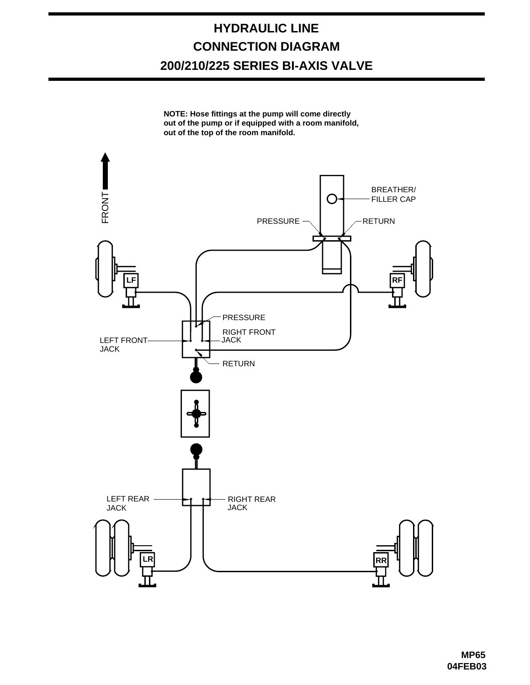### **HYDRAULIC LINE CONNECTION DIAGRAM 200/210/225 SERIES BI-AXIS VALVE**

**NOTE: Hose fittings at the pump will come directly out of the pump or if equipped with a room manifold, out of the top of the room manifold.**

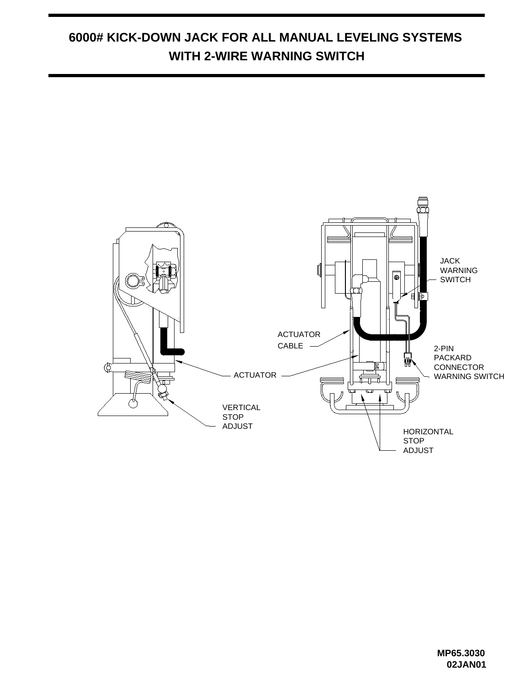### **6000# KICK-DOWN JACK FOR ALL MANUAL LEVELING SYSTEMS WITH 2-WIRE WARNING SWITCH**

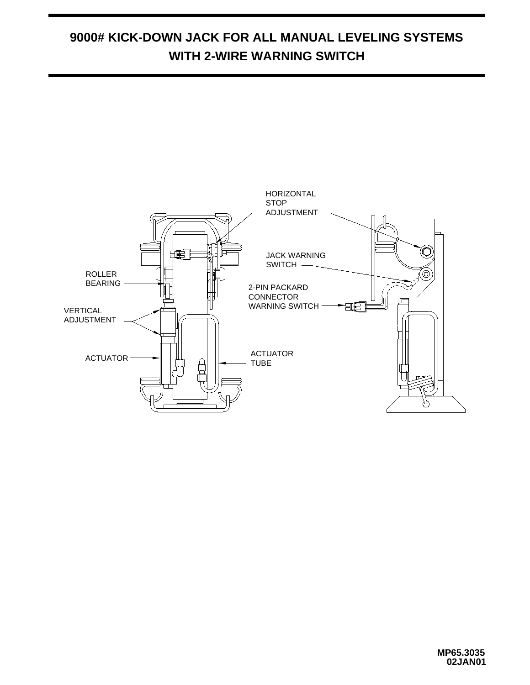#### **9000# KICK-DOWN JACK FOR ALL MANUAL LEVELING SYSTEMS WITH 2-WIRE WARNING SWITCH**

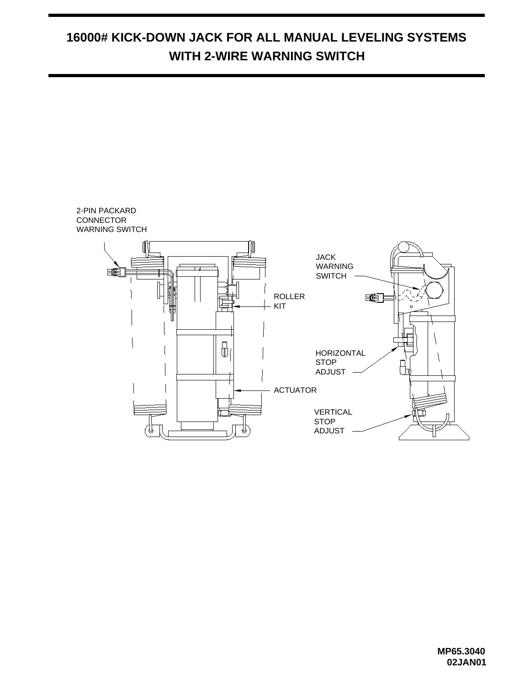## **16000# KICK-DOWN JACK FOR ALL MANUAL LEVELING SYSTEMS WITH 2-WIRE WARNING SWITCH**

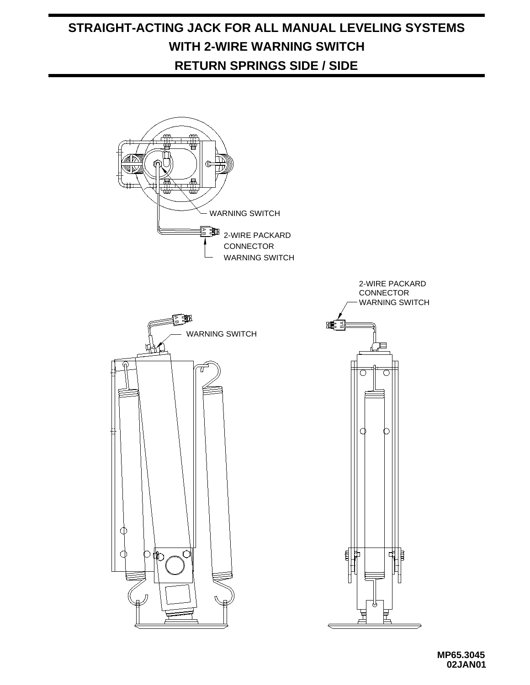## **STRAIGHT-ACTING JACK FOR ALL MANUAL LEVELING SYSTEMS WITH 2-WIRE WARNING SWITCH RETURN SPRINGS SIDE / SIDE**

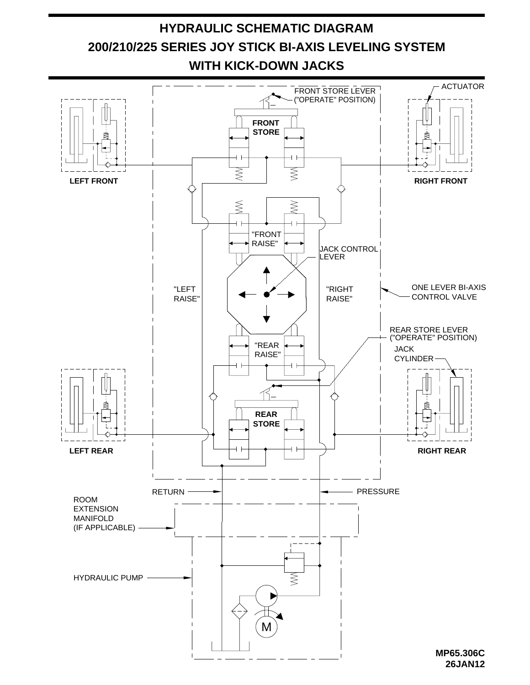

**26JAN12**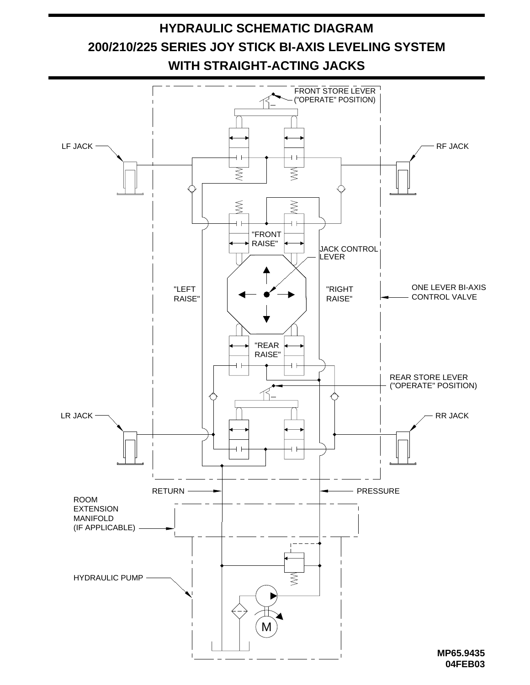

**04FEB03**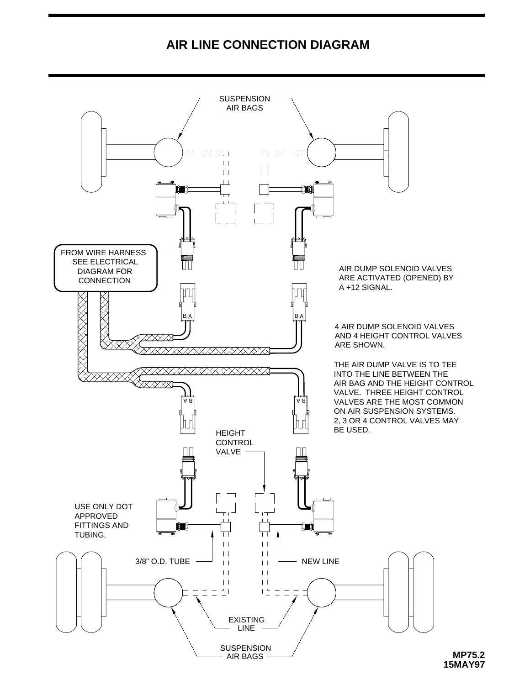#### **AIR LINE CONNECTION DIAGRAM**



**MP75.2 15MAY97**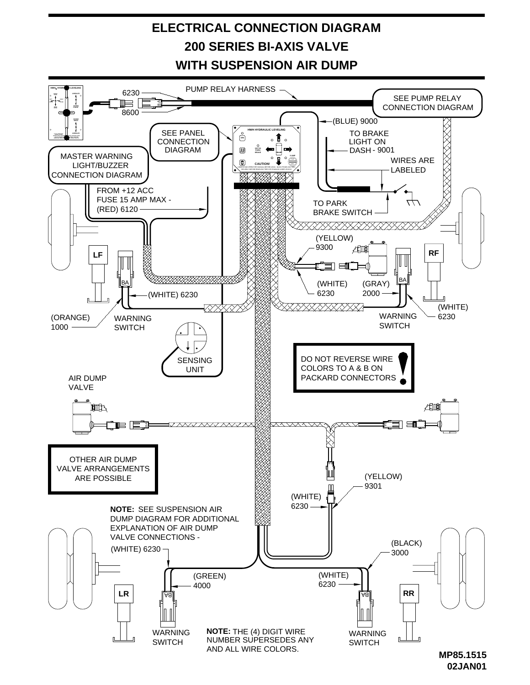## **ELECTRICAL CONNECTION DIAGRAM 200 SERIES BI-AXIS VALVE WITH SUSPENSION AIR DUMP**



**<sup>02</sup>JAN01**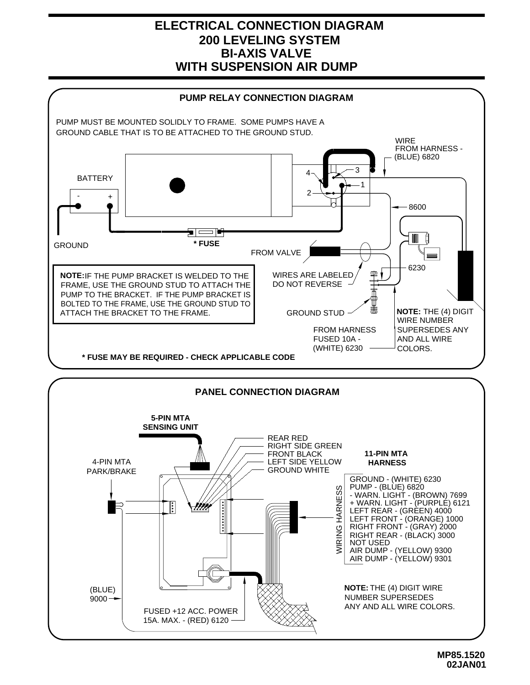#### **ELECTRICAL CONNECTION DIAGRAM BI-AXIS VALVE WITH SUSPENSION AIR DUMP 200 LEVELING SYSTEM**

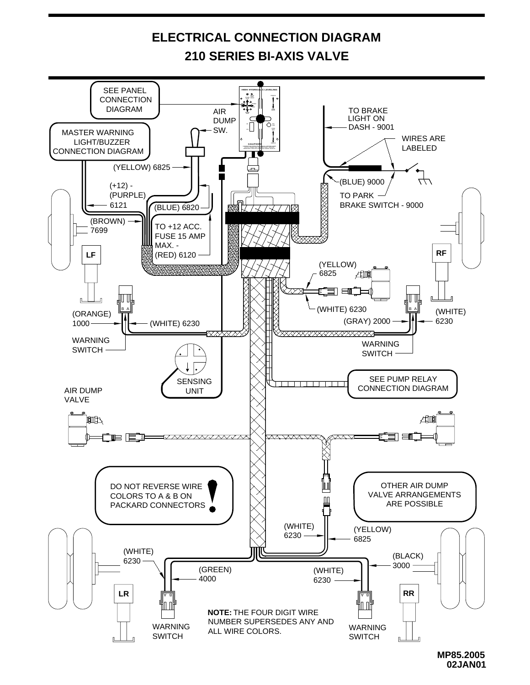

**MP85.2005 02JAN01**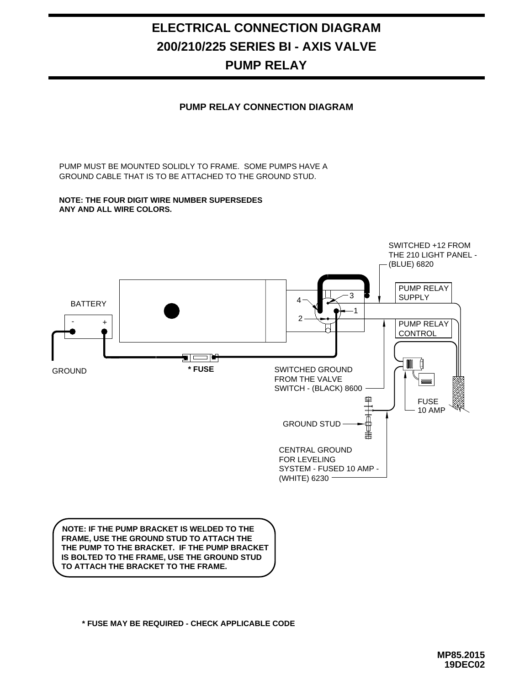#### **ELECTRICAL CONNECTION DIAGRAM 200/210/225 SERIES BI - AXIS VALVE PUMP RELAY**

#### **PUMP RELAY CONNECTION DIAGRAM**

GROUND CABLE THAT IS TO BE ATTACHED TO THE GROUND STUD. PUMP MUST BE MOUNTED SOLIDLY TO FRAME. SOME PUMPS HAVE A

#### **NOTE: THE FOUR DIGIT WIRE NUMBER SUPERSEDES ANY AND ALL WIRE COLORS.**



**TO ATTACH THE BRACKET TO THE FRAME.** 

**\* FUSE MAY BE REQUIRED - CHECK APPLICABLE CODE**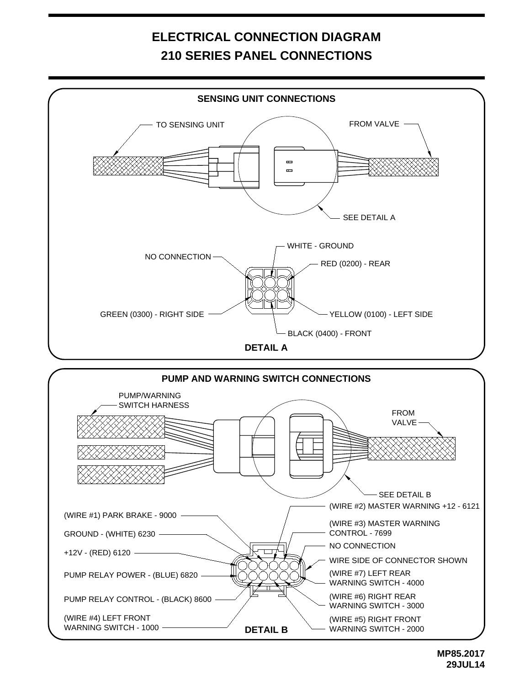## **ELECTRICAL CONNECTION DIAGRAM 210 SERIES PANEL CONNECTIONS**

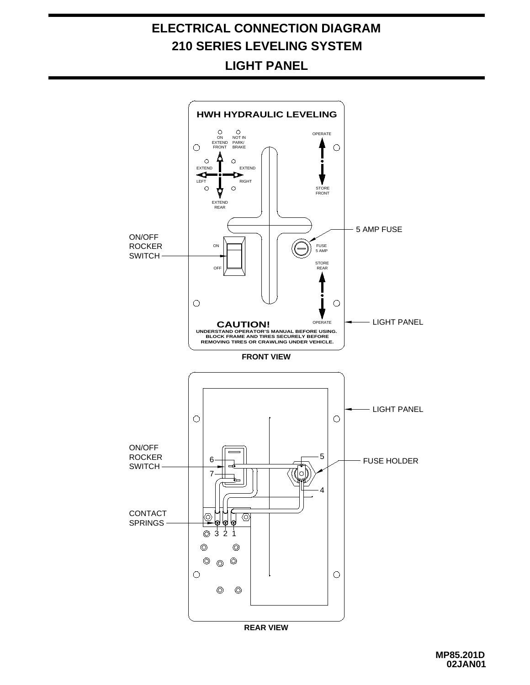# LIGHT PANEL



**MP85.201D 02JAN01**

## **ELECTRICAL CONNECTION DIAGRAM 210 SERIES LEVELING SYSTEM**

**LIGHT PANEL**

**HWH HYDRAULIC LEVELING**

EXTEND

ON NOTIN<br>EXTEND PARK/<br>FRONT BRAKE NOT IN

> $\circ$ ∼

٥  $\circ$ 

 $\bigcirc$ 

OPERATE

 $\circ$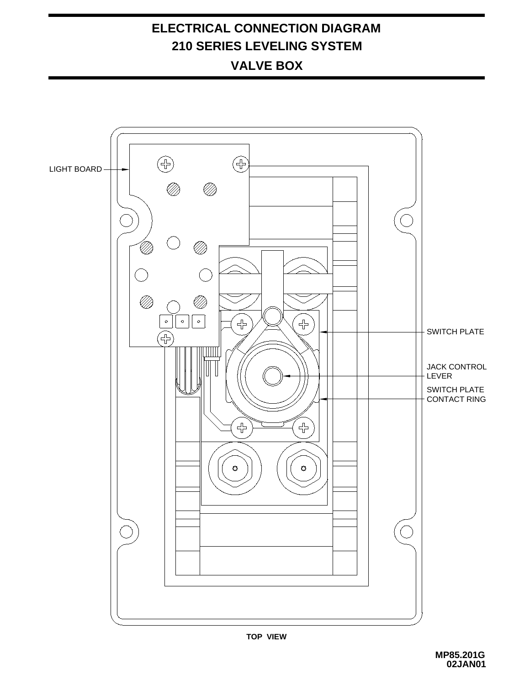### **ELECTRICAL CONNECTION DIAGRAM 210 SERIES LEVELING SYSTEM VALVE BOX**

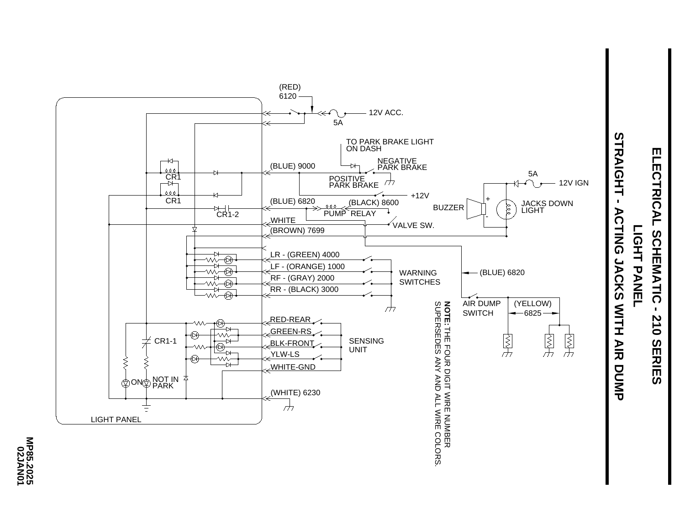

# **ELECTRICAL ELECTRICAL SCHEMATIC - 210 SERIES** LIGHT PANEL **LIGHT PANEL** SCHEMATIC  $\blacksquare$ **210 SERIES**

MP85.2025<br>02JAN01 **MP85.2025**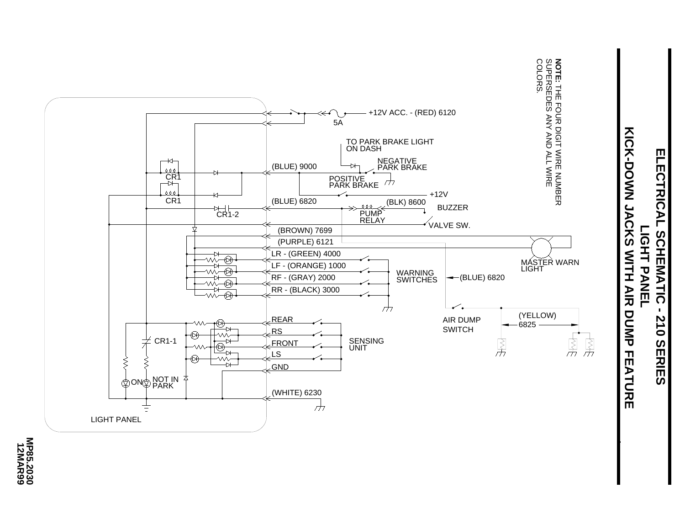

# **XIOS-DONN JACKS MILH AIR KICK-DOWN JACKS WITH AIR DUMP FEATURE** ELECTRICAL SCHEMATIC **ELECTRICAL SCHEMATIC - 210 SERIES LIGHT PANEL** LIGHT PANEL  $\blacksquare$ **DUMP FEATURE 210 SERIES**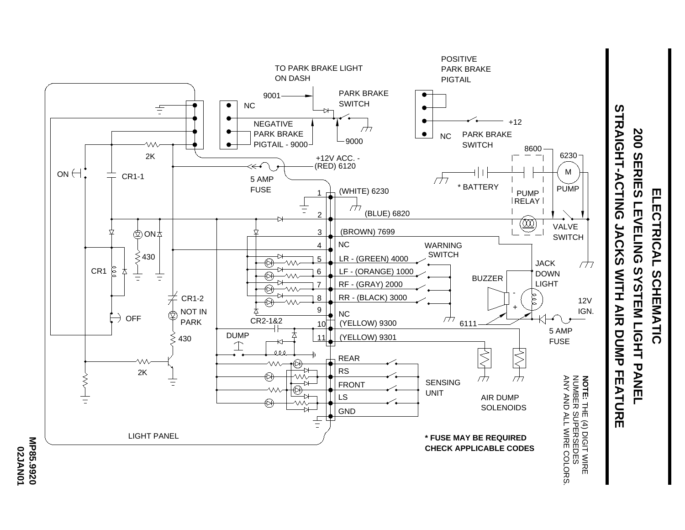

**200 SERIES LEVELING SYSTEM LIGHT PANEL ELECTRICAL SCHEMATIC ELECTRICAL LEVELING** SYSTEM LIGHT PANEL SCHEMATIC

**200 SERIES** 

**02JAN01**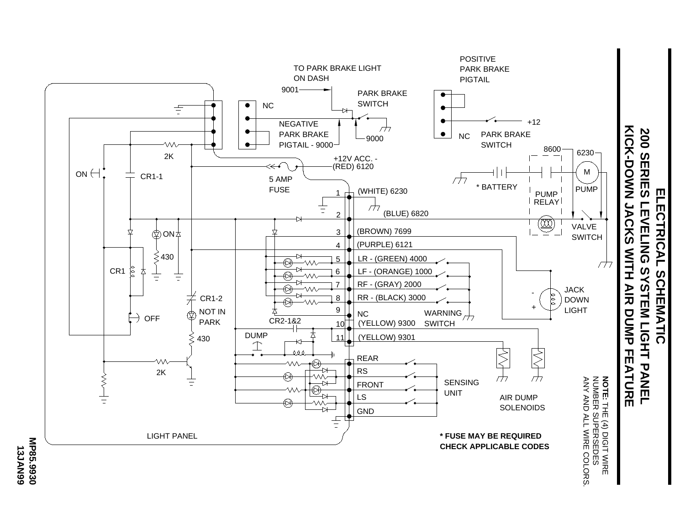

**13JAN99**